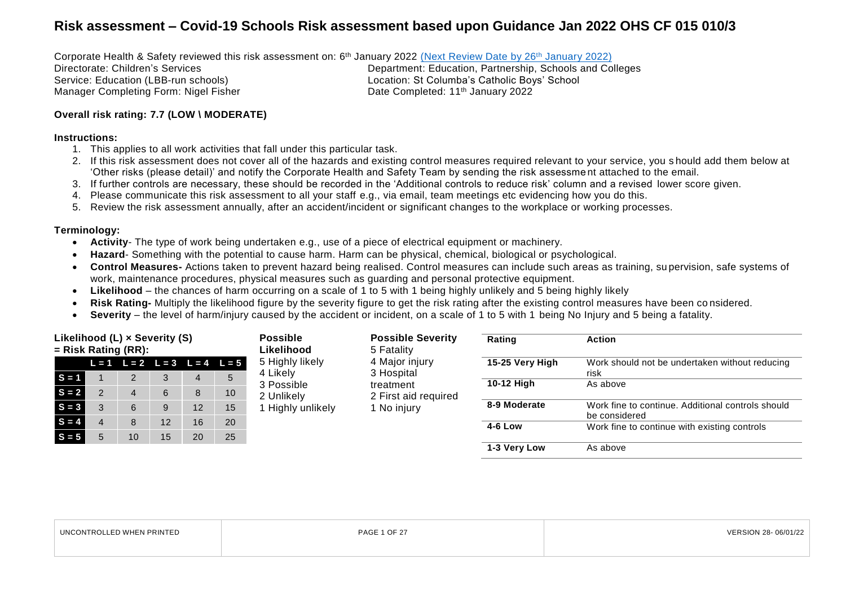Corporate Health & Safety reviewed this risk assessment on: 6<sup>th</sup> January 2022 <u>(Next [Review Date by 26](#page-4-0)<sup>th</sup> January 2022)</u>

Manager Completing Form: Nigel Fisher Note 2022 Completed: 11<sup>th</sup> January 2022

Directorate: Children's Services<br>
Service: Education (LBB-run schools)<br>
Location: St Columba's Catholic Boys' School<br>
Location: St Columba's Catholic Boys' School Location: St Columba's Catholic Boys' School

#### **Overall risk rating: 7.7 (LOW \ MODERATE)**

#### **Instructions:**

- 1. This applies to all work activities that fall under this particular task.
- 2. If this risk assessment does not cover all of the hazards and existing control measures required relevant to your service, you s hould add them below at 'Other risks (please detail)' and notify the Corporate Health and Safety Team by sending the risk assessme nt attached to the email.
- 3. If further controls are necessary, these should be recorded in the 'Additional controls to reduce risk' column and a revised lower score given.
- 4. Please communicate this risk assessment to all your staff e.g., via email, team meetings etc evidencing how you do this.
- 5. Review the risk assessment annually, after an accident/incident or significant changes to the workplace or working processes.

#### **Terminology:**

- **Activity** The type of work being undertaken e.g., use of a piece of electrical equipment or machinery.
- **Hazard** Something with the potential to cause harm. Harm can be physical, chemical, biological or psychological.
- **Control Measures-** Actions taken to prevent hazard being realised. Control measures can include such areas as training, su pervision, safe systems of work, maintenance procedures, physical measures such as guarding and personal protective equipment.
- **Likelihood**  the chances of harm occurring on a scale of 1 to 5 with 1 being highly unlikely and 5 being highly likely
- **Risk Rating-** Multiply the likelihood figure by the severity figure to get the risk rating after the existing control measures have been co nsidered.
- **Severity** the level of harm/injury caused by the accident or incident, on a scale of 1 to 5 with 1 being No Injury and 5 being a fatality.

| Likelihood (L) x Severity (S)<br>$=$ Risk Rating (RR): |  | <b>Possible</b><br>Likelihood |    |    | <b>Possible Severity</b><br>5 Fatality  | Rating                 | <b>Action</b>           |                 |                                                                    |
|--------------------------------------------------------|--|-------------------------------|----|----|-----------------------------------------|------------------------|-------------------------|-----------------|--------------------------------------------------------------------|
|                                                        |  |                               |    |    | $L = 1$ $L = 2$ $L = 3$ $L = 4$ $L = 5$ | 5 Highly likely        | 4 Major injury          | 15-25 Very High | Work should not be undertaken without reducing                     |
| $S = 1$                                                |  | 2                             | 3  | 4  | 5                                       | 4 Likely<br>3 Possible | 3 Hospital<br>treatment | 10-12 High      | risk<br>As above                                                   |
| $S = 2$                                                |  | 4                             | 6  | 8  | 10                                      | 2 Unlikely             | 2 First aid required    |                 |                                                                    |
| $S = 3$                                                |  | 6                             | 9  | 12 | 15                                      | 1 Highly unlikely      | 1 No injury             | 8-9 Moderate    | Work fine to continue. Additional controls should<br>be considered |
| $S = 4$                                                |  | 8                             | 12 | 16 | 20                                      |                        |                         | 4-6 Low         | Work fine to continue with existing controls                       |
| $S = 5$                                                |  | 10                            | 15 | 20 | 25                                      |                        |                         |                 |                                                                    |
|                                                        |  |                               |    |    |                                         |                        |                         | 1-3 Very Low    | As above                                                           |

| LED WHEN PRINTED<br><b>IINCONTROL</b> | $\bigcap_{i=1}^n$<br>D ∆ ∩ ⊏ | 06/01/22 |
|---------------------------------------|------------------------------|----------|
|                                       |                              |          |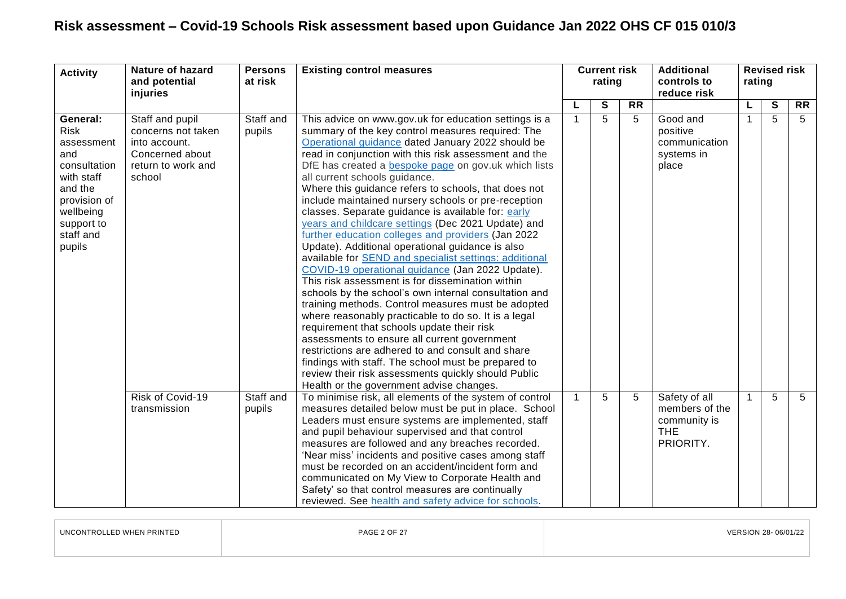| <b>Activity</b>                                                                                                                                         | <b>Nature of hazard</b><br>and potential<br>injuries                                                      | <b>Persons</b><br>at risk | <b>Existing control measures</b>                                                                                                                                                                                                                                                                                                                                                                                                                                                                                                                                                                                                                                                                                                                                                                                                                                                                                                                                                                                                                                                                                                                                                                                                                                                                                    |                | <b>Current risk</b><br>rating |                 | <b>Additional</b><br>controls to<br>reduce risk                            | rating       | <b>Revised risk</b> |                 |
|---------------------------------------------------------------------------------------------------------------------------------------------------------|-----------------------------------------------------------------------------------------------------------|---------------------------|---------------------------------------------------------------------------------------------------------------------------------------------------------------------------------------------------------------------------------------------------------------------------------------------------------------------------------------------------------------------------------------------------------------------------------------------------------------------------------------------------------------------------------------------------------------------------------------------------------------------------------------------------------------------------------------------------------------------------------------------------------------------------------------------------------------------------------------------------------------------------------------------------------------------------------------------------------------------------------------------------------------------------------------------------------------------------------------------------------------------------------------------------------------------------------------------------------------------------------------------------------------------------------------------------------------------|----------------|-------------------------------|-----------------|----------------------------------------------------------------------------|--------------|---------------------|-----------------|
|                                                                                                                                                         |                                                                                                           |                           |                                                                                                                                                                                                                                                                                                                                                                                                                                                                                                                                                                                                                                                                                                                                                                                                                                                                                                                                                                                                                                                                                                                                                                                                                                                                                                                     |                | S                             | $\overline{RR}$ |                                                                            | L            | S                   | $\overline{RR}$ |
| General:<br><b>Risk</b><br>assessment<br>and<br>consultation<br>with staff<br>and the<br>provision of<br>wellbeing<br>support to<br>staff and<br>pupils | Staff and pupil<br>concerns not taken<br>into account.<br>Concerned about<br>return to work and<br>school | Staff and<br>pupils       | This advice on www.gov.uk for education settings is a<br>summary of the key control measures required: The<br>Operational guidance dated January 2022 should be<br>read in conjunction with this risk assessment and the<br>DfE has created a <b>bespoke page</b> on gov.uk which lists<br>all current schools guidance.<br>Where this guidance refers to schools, that does not<br>include maintained nursery schools or pre-reception<br>classes. Separate guidance is available for: early<br>years and childcare settings (Dec 2021 Update) and<br>further education colleges and providers (Jan 2022<br>Update). Additional operational guidance is also<br>available for SEND and specialist settings: additional<br>COVID-19 operational guidance (Jan 2022 Update).<br>This risk assessment is for dissemination within<br>schools by the school's own internal consultation and<br>training methods. Control measures must be adopted<br>where reasonably practicable to do so. It is a legal<br>requirement that schools update their risk<br>assessments to ensure all current government<br>restrictions are adhered to and consult and share<br>findings with staff. The school must be prepared to<br>review their risk assessments quickly should Public<br>Health or the government advise changes. |                | 5                             | 5               | Good and<br>positive<br>communication<br>systems in<br>place               | 1            | 5                   | 5               |
|                                                                                                                                                         | Risk of Covid-19<br>transmission                                                                          | Staff and<br>pupils       | To minimise risk, all elements of the system of control<br>measures detailed below must be put in place. School<br>Leaders must ensure systems are implemented, staff<br>and pupil behaviour supervised and that control<br>measures are followed and any breaches recorded.<br>'Near miss' incidents and positive cases among staff<br>must be recorded on an accident/incident form and<br>communicated on My View to Corporate Health and<br>Safety' so that control measures are continually<br>reviewed. See health and safety advice for schools.                                                                                                                                                                                                                                                                                                                                                                                                                                                                                                                                                                                                                                                                                                                                                             | $\overline{1}$ | 5                             | 5               | Safety of all<br>members of the<br>community is<br><b>THE</b><br>PRIORITY. | $\mathbf{1}$ | 5                   | 5               |

| UNCONTROLLED WHEN PRINTED | <b>PAGE 2 OF 27</b> | VERSION 28-06/01/22 |
|---------------------------|---------------------|---------------------|
|                           |                     |                     |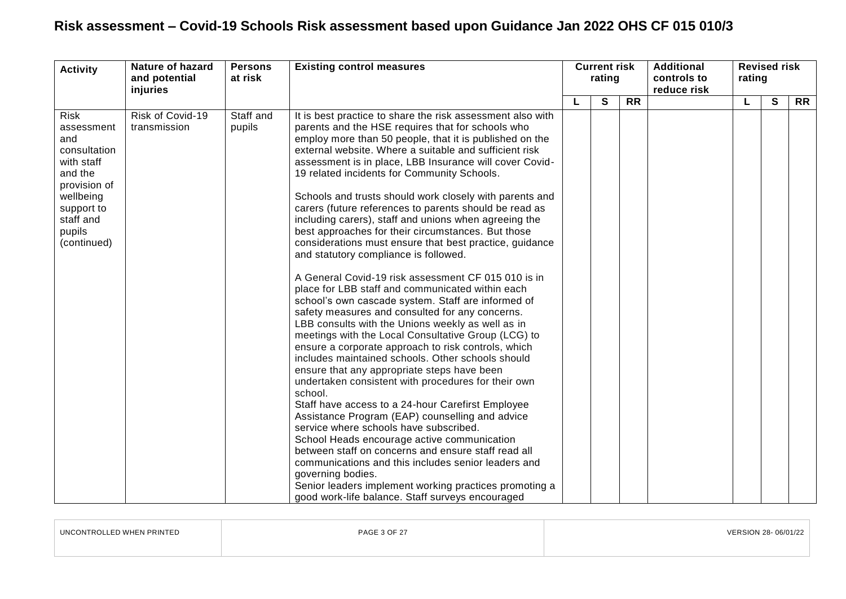| <b>Activity</b>                                                                                                                                            | <b>Nature of hazard</b><br>and potential<br>injuries | <b>Persons</b><br>at risk | <b>Existing control measures</b>                                                                                                                                                                                                                                                                                                                                                                                                                                                                                                                                                                                                                                                                                                                                                                                                                                                                                                                                                                                                                                                                                                                                                                                                                                                                                                                                                                                                                                                                                                                                                                                                                                                                      | <b>Current risk</b><br>rating |   |           | <b>Additional</b><br>controls to<br>reduce risk | <b>Revised risk</b><br>rating |              |           |
|------------------------------------------------------------------------------------------------------------------------------------------------------------|------------------------------------------------------|---------------------------|-------------------------------------------------------------------------------------------------------------------------------------------------------------------------------------------------------------------------------------------------------------------------------------------------------------------------------------------------------------------------------------------------------------------------------------------------------------------------------------------------------------------------------------------------------------------------------------------------------------------------------------------------------------------------------------------------------------------------------------------------------------------------------------------------------------------------------------------------------------------------------------------------------------------------------------------------------------------------------------------------------------------------------------------------------------------------------------------------------------------------------------------------------------------------------------------------------------------------------------------------------------------------------------------------------------------------------------------------------------------------------------------------------------------------------------------------------------------------------------------------------------------------------------------------------------------------------------------------------------------------------------------------------------------------------------------------------|-------------------------------|---|-----------|-------------------------------------------------|-------------------------------|--------------|-----------|
|                                                                                                                                                            |                                                      |                           |                                                                                                                                                                                                                                                                                                                                                                                                                                                                                                                                                                                                                                                                                                                                                                                                                                                                                                                                                                                                                                                                                                                                                                                                                                                                                                                                                                                                                                                                                                                                                                                                                                                                                                       |                               | S | <b>RR</b> |                                                 | L                             | $\mathbf{s}$ | <b>RR</b> |
| <b>Risk</b><br>assessment<br>and<br>consultation<br>with staff<br>and the<br>provision of<br>wellbeing<br>support to<br>staff and<br>pupils<br>(continued) | Risk of Covid-19<br>transmission                     | Staff and<br>pupils       | It is best practice to share the risk assessment also with<br>parents and the HSE requires that for schools who<br>employ more than 50 people, that it is published on the<br>external website. Where a suitable and sufficient risk<br>assessment is in place, LBB Insurance will cover Covid-<br>19 related incidents for Community Schools.<br>Schools and trusts should work closely with parents and<br>carers (future references to parents should be read as<br>including carers), staff and unions when agreeing the<br>best approaches for their circumstances. But those<br>considerations must ensure that best practice, guidance<br>and statutory compliance is followed.<br>A General Covid-19 risk assessment CF 015 010 is in<br>place for LBB staff and communicated within each<br>school's own cascade system. Staff are informed of<br>safety measures and consulted for any concerns.<br>LBB consults with the Unions weekly as well as in<br>meetings with the Local Consultative Group (LCG) to<br>ensure a corporate approach to risk controls, which<br>includes maintained schools. Other schools should<br>ensure that any appropriate steps have been<br>undertaken consistent with procedures for their own<br>school.<br>Staff have access to a 24-hour Carefirst Employee<br>Assistance Program (EAP) counselling and advice<br>service where schools have subscribed.<br>School Heads encourage active communication<br>between staff on concerns and ensure staff read all<br>communications and this includes senior leaders and<br>governing bodies.<br>Senior leaders implement working practices promoting a<br>good work-life balance. Staff surveys encouraged |                               |   |           |                                                 |                               |              |           |

| UNCONTROLLED WHEN PRINTED | <b>PAGE 3 OF 27</b> | VERSION 28-06/01/22 |
|---------------------------|---------------------|---------------------|
|                           |                     |                     |
|                           |                     |                     |

 $\overline{a}$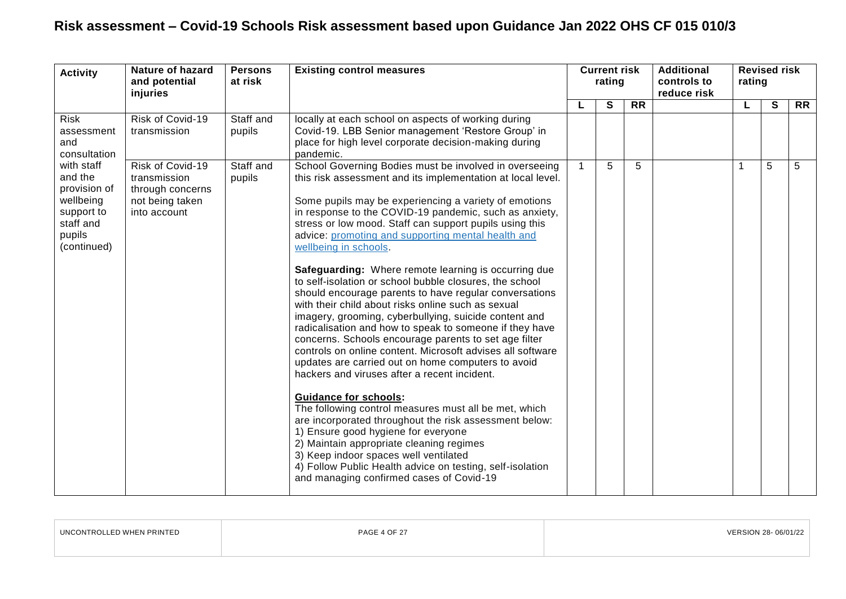| <b>Activity</b>                                                                                        | Nature of hazard<br>and potential<br>injuries                                           | <b>Persons</b><br><b>Existing control measures</b><br>at risk |                                                                                                                                                                                                                                                                                                                                                                                                                                                                                                                                                                                                                                                                                                                                                                                                                                                                                                                                                                                                                                                                                                                                                                                                                                                                                                                                                                | <b>Current risk</b><br>rating |   |                 | <b>Additional</b><br>controls to<br>reduce risk | <b>Revised risk</b><br>rating |   |           |  |
|--------------------------------------------------------------------------------------------------------|-----------------------------------------------------------------------------------------|---------------------------------------------------------------|----------------------------------------------------------------------------------------------------------------------------------------------------------------------------------------------------------------------------------------------------------------------------------------------------------------------------------------------------------------------------------------------------------------------------------------------------------------------------------------------------------------------------------------------------------------------------------------------------------------------------------------------------------------------------------------------------------------------------------------------------------------------------------------------------------------------------------------------------------------------------------------------------------------------------------------------------------------------------------------------------------------------------------------------------------------------------------------------------------------------------------------------------------------------------------------------------------------------------------------------------------------------------------------------------------------------------------------------------------------|-------------------------------|---|-----------------|-------------------------------------------------|-------------------------------|---|-----------|--|
|                                                                                                        |                                                                                         |                                                               |                                                                                                                                                                                                                                                                                                                                                                                                                                                                                                                                                                                                                                                                                                                                                                                                                                                                                                                                                                                                                                                                                                                                                                                                                                                                                                                                                                | L                             | S | $\overline{RR}$ |                                                 |                               | S | <b>RR</b> |  |
| <b>Risk</b><br>assessment<br>and<br>consultation                                                       | Risk of Covid-19<br>transmission                                                        | Staff and<br>pupils                                           | locally at each school on aspects of working during<br>Covid-19. LBB Senior management 'Restore Group' in<br>place for high level corporate decision-making during<br>pandemic.                                                                                                                                                                                                                                                                                                                                                                                                                                                                                                                                                                                                                                                                                                                                                                                                                                                                                                                                                                                                                                                                                                                                                                                |                               |   |                 |                                                 |                               |   |           |  |
| with staff<br>and the<br>provision of<br>wellbeing<br>support to<br>staff and<br>pupils<br>(continued) | Risk of Covid-19<br>transmission<br>through concerns<br>not being taken<br>into account | Staff and<br>pupils                                           | School Governing Bodies must be involved in overseeing<br>this risk assessment and its implementation at local level.<br>Some pupils may be experiencing a variety of emotions<br>in response to the COVID-19 pandemic, such as anxiety,<br>stress or low mood. Staff can support pupils using this<br>advice: promoting and supporting mental health and<br>wellbeing in schools.<br>Safeguarding: Where remote learning is occurring due<br>to self-isolation or school bubble closures, the school<br>should encourage parents to have regular conversations<br>with their child about risks online such as sexual<br>imagery, grooming, cyberbullying, suicide content and<br>radicalisation and how to speak to someone if they have<br>concerns. Schools encourage parents to set age filter<br>controls on online content. Microsoft advises all software<br>updates are carried out on home computers to avoid<br>hackers and viruses after a recent incident.<br><b>Guidance for schools:</b><br>The following control measures must all be met, which<br>are incorporated throughout the risk assessment below:<br>1) Ensure good hygiene for everyone<br>2) Maintain appropriate cleaning regimes<br>3) Keep indoor spaces well ventilated<br>4) Follow Public Health advice on testing, self-isolation<br>and managing confirmed cases of Covid-19 | $\overline{1}$                | 5 | 5               |                                                 | 1                             | 5 | 5         |  |

| LINC.<br>WHEN PRINTED | <b>PAGE 4 OF 27</b> | <b>06/01/44</b><br>וחר |
|-----------------------|---------------------|------------------------|
|                       |                     |                        |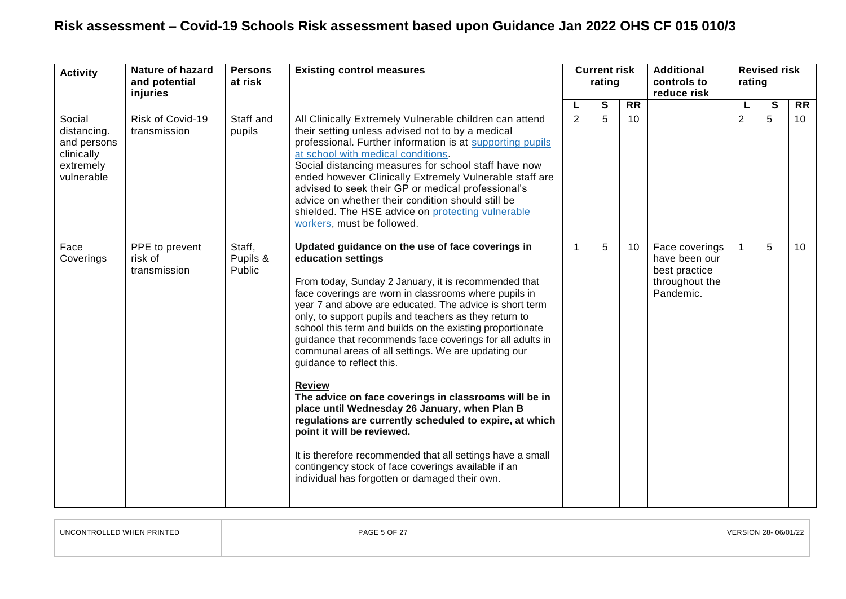| <b>Activity</b>                                                               | Nature of hazard<br>and potential<br>injuries | <b>Persons</b><br><b>Existing control measures</b><br>at risk | <b>Current risk</b><br>rating                                                                                                                                                                                                                                                                                                                                                                                                                                                                                                                                                                                                                                                                                                                                                                                                                                                                                         |   |   | <b>Additional</b><br>controls to<br>reduce risk | <b>Revised risk</b><br>rating                                                   |                |   |                 |
|-------------------------------------------------------------------------------|-----------------------------------------------|---------------------------------------------------------------|-----------------------------------------------------------------------------------------------------------------------------------------------------------------------------------------------------------------------------------------------------------------------------------------------------------------------------------------------------------------------------------------------------------------------------------------------------------------------------------------------------------------------------------------------------------------------------------------------------------------------------------------------------------------------------------------------------------------------------------------------------------------------------------------------------------------------------------------------------------------------------------------------------------------------|---|---|-------------------------------------------------|---------------------------------------------------------------------------------|----------------|---|-----------------|
|                                                                               |                                               |                                                               |                                                                                                                                                                                                                                                                                                                                                                                                                                                                                                                                                                                                                                                                                                                                                                                                                                                                                                                       |   | S | <b>RR</b>                                       |                                                                                 |                | S | <b>RR</b>       |
| Social<br>distancing.<br>and persons<br>clinically<br>extremely<br>vulnerable | Risk of Covid-19<br>transmission              | Staff and<br>pupils                                           | All Clinically Extremely Vulnerable children can attend<br>their setting unless advised not to by a medical<br>professional. Further information is at supporting pupils<br>at school with medical conditions.<br>Social distancing measures for school staff have now<br>ended however Clinically Extremely Vulnerable staff are<br>advised to seek their GP or medical professional's<br>advice on whether their condition should still be<br>shielded. The HSE advice on protecting vulnerable<br>workers, must be followed.                                                                                                                                                                                                                                                                                                                                                                                       | 2 | 5 | 10                                              |                                                                                 | $\overline{2}$ | 5 | 10 <sup>°</sup> |
| Face<br>Coverings                                                             | PPE to prevent<br>risk of<br>transmission     | Staff,<br>Pupils &<br>Public                                  | Updated guidance on the use of face coverings in<br>education settings<br>From today, Sunday 2 January, it is recommended that<br>face coverings are worn in classrooms where pupils in<br>year 7 and above are educated. The advice is short term<br>only, to support pupils and teachers as they return to<br>school this term and builds on the existing proportionate<br>guidance that recommends face coverings for all adults in<br>communal areas of all settings. We are updating our<br>guidance to reflect this.<br><b>Review</b><br>The advice on face coverings in classrooms will be in<br>place until Wednesday 26 January, when Plan B<br>regulations are currently scheduled to expire, at which<br>point it will be reviewed.<br>It is therefore recommended that all settings have a small<br>contingency stock of face coverings available if an<br>individual has forgotten or damaged their own. | 1 | 5 | 10                                              | Face coverings<br>have been our<br>best practice<br>throughout the<br>Pandemic. | $\mathbf{1}$   | 5 | 10 <sup>°</sup> |

<span id="page-4-0"></span>

| UNCONTROLLED WHEN PRINTED | <b>PAGE 5 OF 27</b> | VERSION 28-06/01/22 |
|---------------------------|---------------------|---------------------|
|                           |                     |                     |

 $\Box$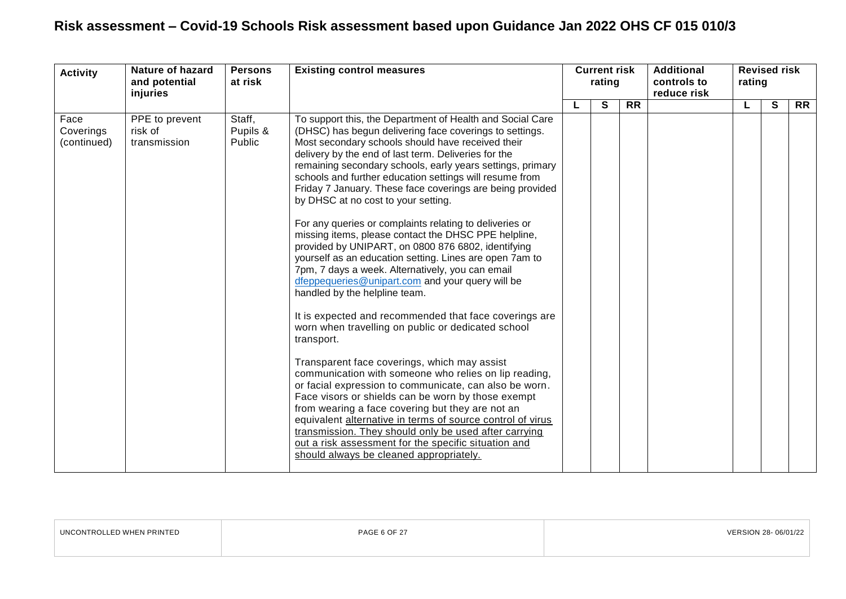| <b>Activity</b>                  | <b>Nature of hazard</b><br>and potential<br>injuries | <b>Existing control measures</b><br><b>Persons</b><br>at risk |                                                                                                                                                                                                                                                                                                                                                                                                                                                                                                                                                                                                                                                                                                                                                                                                                                                                                                                                                                                                                                                                                                                                                                                                                                                                                                                                                                                                                                                                                  | <b>Current risk</b><br>rating |   |           | <b>Additional</b><br>controls to<br>reduce risk | <b>Revised risk</b><br>rating |   |           |  |  |
|----------------------------------|------------------------------------------------------|---------------------------------------------------------------|----------------------------------------------------------------------------------------------------------------------------------------------------------------------------------------------------------------------------------------------------------------------------------------------------------------------------------------------------------------------------------------------------------------------------------------------------------------------------------------------------------------------------------------------------------------------------------------------------------------------------------------------------------------------------------------------------------------------------------------------------------------------------------------------------------------------------------------------------------------------------------------------------------------------------------------------------------------------------------------------------------------------------------------------------------------------------------------------------------------------------------------------------------------------------------------------------------------------------------------------------------------------------------------------------------------------------------------------------------------------------------------------------------------------------------------------------------------------------------|-------------------------------|---|-----------|-------------------------------------------------|-------------------------------|---|-----------|--|--|
|                                  |                                                      |                                                               |                                                                                                                                                                                                                                                                                                                                                                                                                                                                                                                                                                                                                                                                                                                                                                                                                                                                                                                                                                                                                                                                                                                                                                                                                                                                                                                                                                                                                                                                                  |                               | S | <b>RR</b> |                                                 |                               | S | <b>RR</b> |  |  |
| Face<br>Coverings<br>(continued) | PPE to prevent<br>risk of<br>transmission            | Staff,<br>Pupils &<br>Public                                  | To support this, the Department of Health and Social Care<br>(DHSC) has begun delivering face coverings to settings.<br>Most secondary schools should have received their<br>delivery by the end of last term. Deliveries for the<br>remaining secondary schools, early years settings, primary<br>schools and further education settings will resume from<br>Friday 7 January. These face coverings are being provided<br>by DHSC at no cost to your setting.<br>For any queries or complaints relating to deliveries or<br>missing items, please contact the DHSC PPE helpline,<br>provided by UNIPART, on 0800 876 6802, identifying<br>yourself as an education setting. Lines are open 7am to<br>7pm, 7 days a week. Alternatively, you can email<br>dfeppequeries@unipart.com and your query will be<br>handled by the helpline team.<br>It is expected and recommended that face coverings are<br>worn when travelling on public or dedicated school<br>transport.<br>Transparent face coverings, which may assist<br>communication with someone who relies on lip reading,<br>or facial expression to communicate, can also be worn.<br>Face visors or shields can be worn by those exempt<br>from wearing a face covering but they are not an<br>equivalent alternative in terms of source control of virus<br>transmission. They should only be used after carrying<br>out a risk assessment for the specific situation and<br>should always be cleaned appropriately. |                               |   |           |                                                 |                               |   |           |  |  |

| UNCONTROLLED WHEN PRINTED | <b>PAGE 6 OF 27</b> | VERSION 28-06/01/22 |
|---------------------------|---------------------|---------------------|
|                           |                     |                     |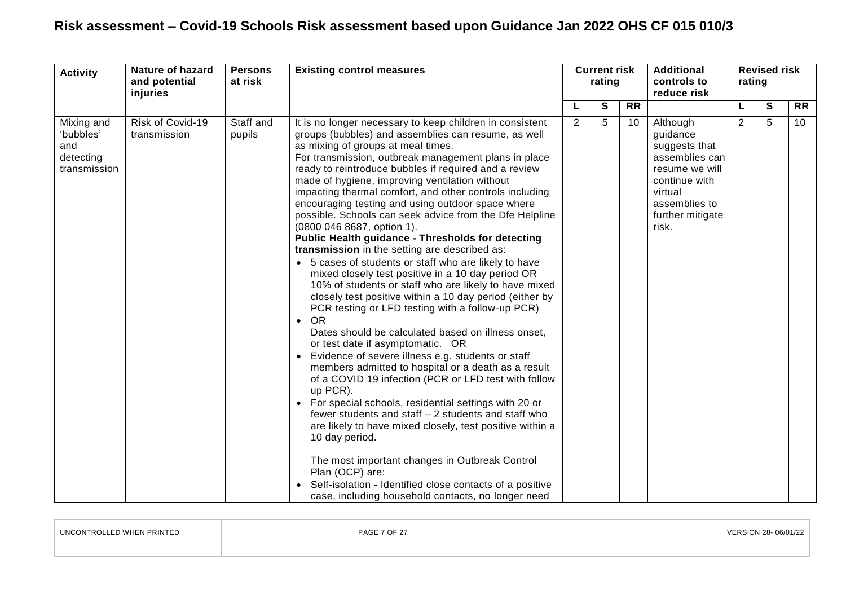| <b>Activity</b>                                             | Nature of hazard<br>and potential<br>injuries | <b>Persons</b><br>at risk | <b>Existing control measures</b>                                                                                                                                                                                                                                                                                                                                                                                                                                                                                                                                                                                                                                                                                                                                                                                                                                                                                                                                                                                                                                                                                                                                                                                                                                                                                                                                                                                                                                                                                                                                                                                          | rating         |   |                 |                                                                                                                                                     |                |   | <b>Current risk</b> |  |  | <b>Additional</b><br>controls to<br>reduce risk | <b>Revised risk</b><br>rating |  |  |
|-------------------------------------------------------------|-----------------------------------------------|---------------------------|---------------------------------------------------------------------------------------------------------------------------------------------------------------------------------------------------------------------------------------------------------------------------------------------------------------------------------------------------------------------------------------------------------------------------------------------------------------------------------------------------------------------------------------------------------------------------------------------------------------------------------------------------------------------------------------------------------------------------------------------------------------------------------------------------------------------------------------------------------------------------------------------------------------------------------------------------------------------------------------------------------------------------------------------------------------------------------------------------------------------------------------------------------------------------------------------------------------------------------------------------------------------------------------------------------------------------------------------------------------------------------------------------------------------------------------------------------------------------------------------------------------------------------------------------------------------------------------------------------------------------|----------------|---|-----------------|-----------------------------------------------------------------------------------------------------------------------------------------------------|----------------|---|---------------------|--|--|-------------------------------------------------|-------------------------------|--|--|
|                                                             |                                               |                           |                                                                                                                                                                                                                                                                                                                                                                                                                                                                                                                                                                                                                                                                                                                                                                                                                                                                                                                                                                                                                                                                                                                                                                                                                                                                                                                                                                                                                                                                                                                                                                                                                           |                | S | <b>RR</b>       |                                                                                                                                                     | L              | S | <b>RR</b>           |  |  |                                                 |                               |  |  |
| Mixing and<br>'bubbles'<br>and<br>detecting<br>transmission | Risk of Covid-19<br>transmission              | Staff and<br>pupils       | It is no longer necessary to keep children in consistent<br>groups (bubbles) and assemblies can resume, as well<br>as mixing of groups at meal times.<br>For transmission, outbreak management plans in place<br>ready to reintroduce bubbles if required and a review<br>made of hygiene, improving ventilation without<br>impacting thermal comfort, and other controls including<br>encouraging testing and using outdoor space where<br>possible. Schools can seek advice from the Dfe Helpline<br>(0800 046 8687, option 1).<br><b>Public Health guidance - Thresholds for detecting</b><br>transmission in the setting are described as:<br>• 5 cases of students or staff who are likely to have<br>mixed closely test positive in a 10 day period OR<br>10% of students or staff who are likely to have mixed<br>closely test positive within a 10 day period (either by<br>PCR testing or LFD testing with a follow-up PCR)<br>$\bullet$ OR<br>Dates should be calculated based on illness onset,<br>or test date if asymptomatic. OR<br>• Evidence of severe illness e.g. students or staff<br>members admitted to hospital or a death as a result<br>of a COVID 19 infection (PCR or LFD test with follow<br>up PCR).<br>• For special schools, residential settings with 20 or<br>fewer students and staff $-2$ students and staff who<br>are likely to have mixed closely, test positive within a<br>10 day period.<br>The most important changes in Outbreak Control<br>Plan (OCP) are:<br>• Self-isolation - Identified close contacts of a positive<br>case, including household contacts, no longer need | $\overline{2}$ | 5 | 10 <sup>°</sup> | Although<br>guidance<br>suggests that<br>assemblies can<br>resume we will<br>continue with<br>virtual<br>assemblies to<br>further mitigate<br>risk. | $\overline{2}$ | 5 | 10 <sup>°</sup>     |  |  |                                                 |                               |  |  |

| UNCONTROLLED WHEN PRINTED | PAGE 7 OF 27 | VERSION 28-06/01/22 |
|---------------------------|--------------|---------------------|
|                           |              |                     |
|                           |              |                     |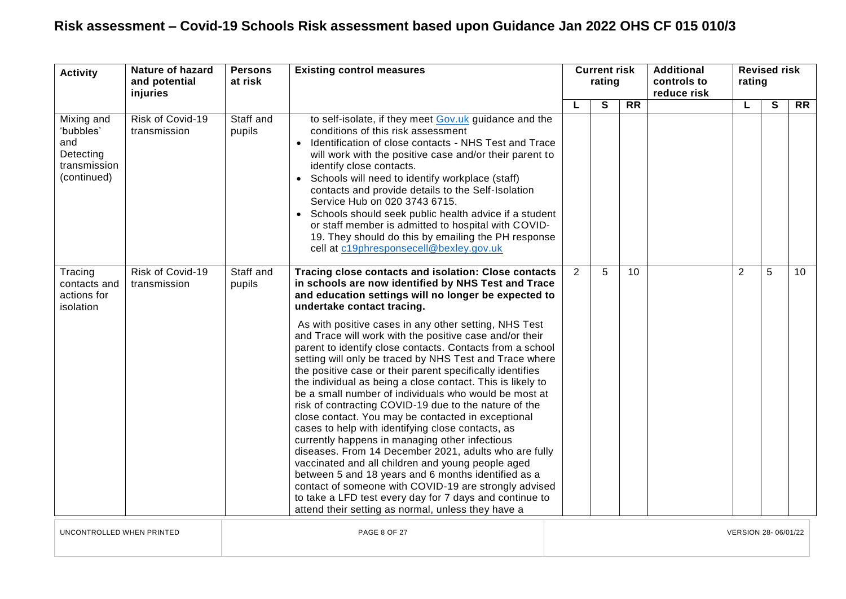| <b>Activity</b>                                              | Nature of hazard<br>and potential<br>injuries | <b>Persons</b><br>at risk | <b>Existing control measures</b>                                                                                                                                                                                                                                                                                                                                                                                                                                                                                                                                                                                                                                                                                                                                                                                                                                                                                                                                                                                                                                                                                                                                                                       | <b>Current risk</b><br>rating |   |                 | <b>Additional</b><br>controls to<br>reduce risk | rating | <b>Revised risk</b> |                 |
|--------------------------------------------------------------|-----------------------------------------------|---------------------------|--------------------------------------------------------------------------------------------------------------------------------------------------------------------------------------------------------------------------------------------------------------------------------------------------------------------------------------------------------------------------------------------------------------------------------------------------------------------------------------------------------------------------------------------------------------------------------------------------------------------------------------------------------------------------------------------------------------------------------------------------------------------------------------------------------------------------------------------------------------------------------------------------------------------------------------------------------------------------------------------------------------------------------------------------------------------------------------------------------------------------------------------------------------------------------------------------------|-------------------------------|---|-----------------|-------------------------------------------------|--------|---------------------|-----------------|
| Mixing and                                                   | Risk of Covid-19                              | Staff and                 | to self-isolate, if they meet Gov.uk guidance and the                                                                                                                                                                                                                                                                                                                                                                                                                                                                                                                                                                                                                                                                                                                                                                                                                                                                                                                                                                                                                                                                                                                                                  | L                             | S | $\overline{RR}$ |                                                 | L      | $\mathbf{s}$        | $\overline{RR}$ |
| 'bubbles'<br>and<br>Detecting<br>transmission<br>(continued) | transmission                                  | pupils                    | conditions of this risk assessment<br>Identification of close contacts - NHS Test and Trace<br>will work with the positive case and/or their parent to<br>identify close contacts.<br>• Schools will need to identify workplace (staff)<br>contacts and provide details to the Self-Isolation<br>Service Hub on 020 3743 6715.<br>• Schools should seek public health advice if a student<br>or staff member is admitted to hospital with COVID-<br>19. They should do this by emailing the PH response<br>cell at c19phresponsecell@bexley.gov.uk                                                                                                                                                                                                                                                                                                                                                                                                                                                                                                                                                                                                                                                     |                               |   |                 |                                                 |        |                     |                 |
| Tracing<br>contacts and<br>actions for<br>isolation          | Risk of Covid-19<br>transmission              | Staff and<br>pupils       | Tracing close contacts and isolation: Close contacts<br>in schools are now identified by NHS Test and Trace<br>and education settings will no longer be expected to<br>undertake contact tracing.<br>As with positive cases in any other setting, NHS Test<br>and Trace will work with the positive case and/or their<br>parent to identify close contacts. Contacts from a school<br>setting will only be traced by NHS Test and Trace where<br>the positive case or their parent specifically identifies<br>the individual as being a close contact. This is likely to<br>be a small number of individuals who would be most at<br>risk of contracting COVID-19 due to the nature of the<br>close contact. You may be contacted in exceptional<br>cases to help with identifying close contacts, as<br>currently happens in managing other infectious<br>diseases. From 14 December 2021, adults who are fully<br>vaccinated and all children and young people aged<br>between 5 and 18 years and 6 months identified as a<br>contact of someone with COVID-19 are strongly advised<br>to take a LFD test every day for 7 days and continue to<br>attend their setting as normal, unless they have a | $\overline{2}$                | 5 | 10              |                                                 | 2      | 5                   | 10 <sup>°</sup> |

UNCONTROLLED WHEN PRINTED PAGE 8 OF 27 VERSION 28- 06/01/22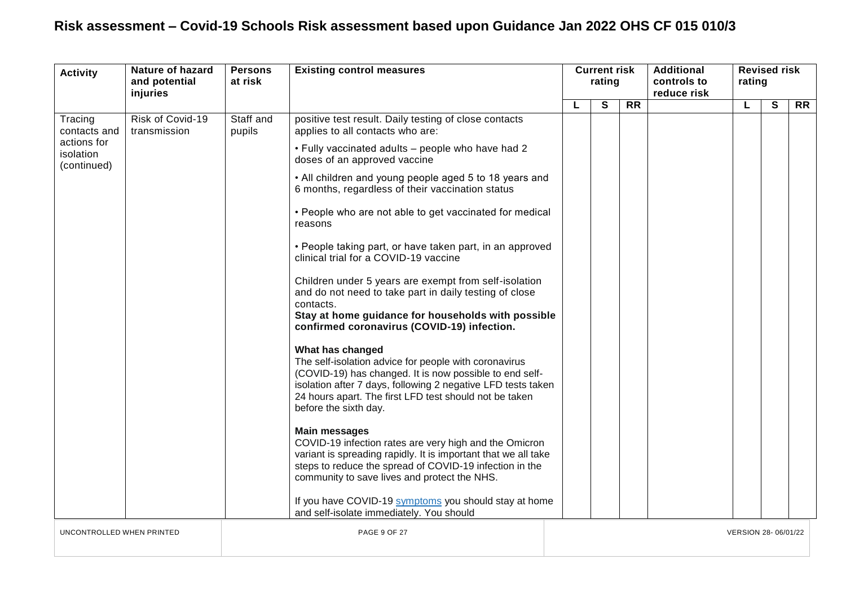| <b>Activity</b>                         | <b>Nature of hazard</b><br>and potential<br>injuries | <b>Persons</b><br>at risk | <b>Existing control measures</b>                                                                                                                                                                                                                                                        | rating |   |           | <b>Current risk</b> |                     |              | <b>Additional</b><br>controls to<br>reduce risk | rating | <b>Revised risk</b> |  |
|-----------------------------------------|------------------------------------------------------|---------------------------|-----------------------------------------------------------------------------------------------------------------------------------------------------------------------------------------------------------------------------------------------------------------------------------------|--------|---|-----------|---------------------|---------------------|--------------|-------------------------------------------------|--------|---------------------|--|
|                                         |                                                      |                           |                                                                                                                                                                                                                                                                                         |        | S | <b>RR</b> |                     | L                   | $\mathbf{s}$ | <b>RR</b>                                       |        |                     |  |
| Tracing<br>contacts and                 | Risk of Covid-19<br>transmission                     | Staff and<br>pupils       | positive test result. Daily testing of close contacts<br>applies to all contacts who are:                                                                                                                                                                                               |        |   |           |                     |                     |              |                                                 |        |                     |  |
| actions for<br>isolation<br>(continued) |                                                      |                           | . Fully vaccinated adults - people who have had 2<br>doses of an approved vaccine                                                                                                                                                                                                       |        |   |           |                     |                     |              |                                                 |        |                     |  |
|                                         |                                                      |                           | • All children and young people aged 5 to 18 years and<br>6 months, regardless of their vaccination status                                                                                                                                                                              |        |   |           |                     |                     |              |                                                 |        |                     |  |
|                                         |                                                      |                           | • People who are not able to get vaccinated for medical<br>reasons                                                                                                                                                                                                                      |        |   |           |                     |                     |              |                                                 |        |                     |  |
|                                         |                                                      |                           | • People taking part, or have taken part, in an approved<br>clinical trial for a COVID-19 vaccine                                                                                                                                                                                       |        |   |           |                     |                     |              |                                                 |        |                     |  |
|                                         |                                                      |                           | Children under 5 years are exempt from self-isolation<br>and do not need to take part in daily testing of close<br>contacts.<br>Stay at home guidance for households with possible                                                                                                      |        |   |           |                     |                     |              |                                                 |        |                     |  |
|                                         |                                                      |                           | confirmed coronavirus (COVID-19) infection.                                                                                                                                                                                                                                             |        |   |           |                     |                     |              |                                                 |        |                     |  |
|                                         |                                                      |                           | What has changed<br>The self-isolation advice for people with coronavirus<br>(COVID-19) has changed. It is now possible to end self-<br>isolation after 7 days, following 2 negative LFD tests taken<br>24 hours apart. The first LFD test should not be taken<br>before the sixth day. |        |   |           |                     |                     |              |                                                 |        |                     |  |
|                                         |                                                      |                           | <b>Main messages</b><br>COVID-19 infection rates are very high and the Omicron<br>variant is spreading rapidly. It is important that we all take<br>steps to reduce the spread of COVID-19 infection in the<br>community to save lives and protect the NHS.                             |        |   |           |                     |                     |              |                                                 |        |                     |  |
|                                         |                                                      |                           | If you have COVID-19 symptoms you should stay at home<br>and self-isolate immediately. You should                                                                                                                                                                                       |        |   |           |                     |                     |              |                                                 |        |                     |  |
| UNCONTROLLED WHEN PRINTED               |                                                      |                           | PAGE 9 OF 27                                                                                                                                                                                                                                                                            |        |   |           |                     | VERSION 28-06/01/22 |              |                                                 |        |                     |  |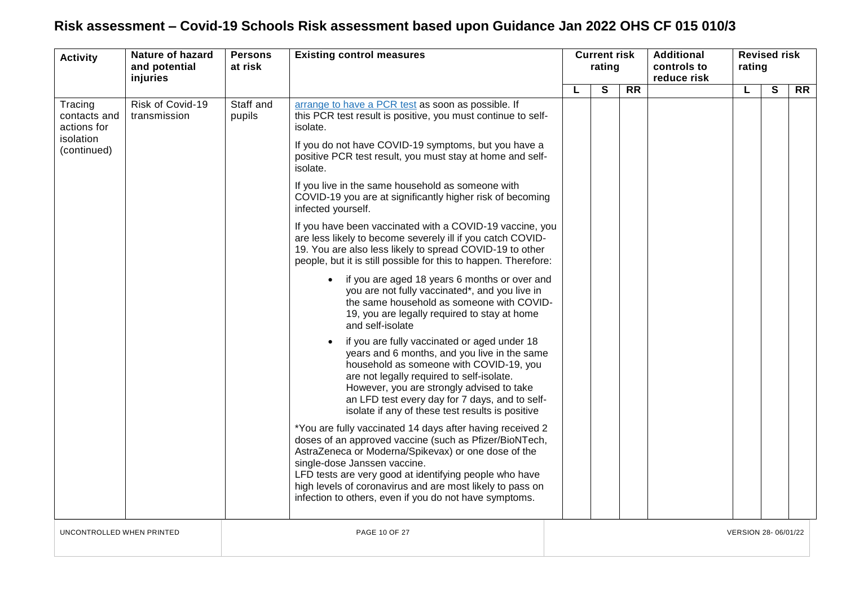| <b>Activity</b>                                                    | <b>Nature of hazard</b><br><b>Persons</b><br>and potential<br>at risk<br>injuries | <b>Existing control measures</b> |                                                                                                                                                                                                                                                                                                                                                             | <b>Current risk</b><br>rating |              | <b>Additional</b><br>controls to<br>reduce risk | <b>Revised risk</b><br>rating |    |              |           |
|--------------------------------------------------------------------|-----------------------------------------------------------------------------------|----------------------------------|-------------------------------------------------------------------------------------------------------------------------------------------------------------------------------------------------------------------------------------------------------------------------------------------------------------------------------------------------------------|-------------------------------|--------------|-------------------------------------------------|-------------------------------|----|--------------|-----------|
|                                                                    |                                                                                   |                                  |                                                                                                                                                                                                                                                                                                                                                             | L                             | $\mathbf{s}$ | $\overline{RR}$                                 |                               | L. | $\mathbf{s}$ | <b>RR</b> |
| Tracing<br>contacts and<br>actions for<br>isolation<br>(continued) | Risk of Covid-19<br>transmission                                                  | Staff and<br>pupils              | arrange to have a PCR test as soon as possible. If<br>this PCR test result is positive, you must continue to self-<br>isolate.<br>If you do not have COVID-19 symptoms, but you have a<br>positive PCR test result, you must stay at home and self-                                                                                                         |                               |              |                                                 |                               |    |              |           |
|                                                                    |                                                                                   |                                  | isolate.                                                                                                                                                                                                                                                                                                                                                    |                               |              |                                                 |                               |    |              |           |
|                                                                    |                                                                                   |                                  | If you live in the same household as someone with<br>COVID-19 you are at significantly higher risk of becoming<br>infected yourself.                                                                                                                                                                                                                        |                               |              |                                                 |                               |    |              |           |
|                                                                    |                                                                                   |                                  | If you have been vaccinated with a COVID-19 vaccine, you<br>are less likely to become severely ill if you catch COVID-<br>19. You are also less likely to spread COVID-19 to other<br>people, but it is still possible for this to happen. Therefore:                                                                                                       |                               |              |                                                 |                               |    |              |           |
|                                                                    |                                                                                   |                                  | if you are aged 18 years 6 months or over and<br>you are not fully vaccinated*, and you live in<br>the same household as someone with COVID-<br>19, you are legally required to stay at home<br>and self-isolate                                                                                                                                            |                               |              |                                                 |                               |    |              |           |
|                                                                    |                                                                                   |                                  | if you are fully vaccinated or aged under 18<br>years and 6 months, and you live in the same<br>household as someone with COVID-19, you<br>are not legally required to self-isolate.<br>However, you are strongly advised to take<br>an LFD test every day for 7 days, and to self-<br>isolate if any of these test results is positive                     |                               |              |                                                 |                               |    |              |           |
|                                                                    |                                                                                   | single-dose Janssen vaccine.     | *You are fully vaccinated 14 days after having received 2<br>doses of an approved vaccine (such as Pfizer/BioNTech,<br>AstraZeneca or Moderna/Spikevax) or one dose of the<br>LFD tests are very good at identifying people who have<br>high levels of coronavirus and are most likely to pass on<br>infection to others, even if you do not have symptoms. |                               |              |                                                 |                               |    |              |           |
| UNCONTROLLED WHEN PRINTED                                          |                                                                                   |                                  | <b>PAGE 10 OF 27</b>                                                                                                                                                                                                                                                                                                                                        | VERSION 28-06/01/22           |              |                                                 |                               |    |              |           |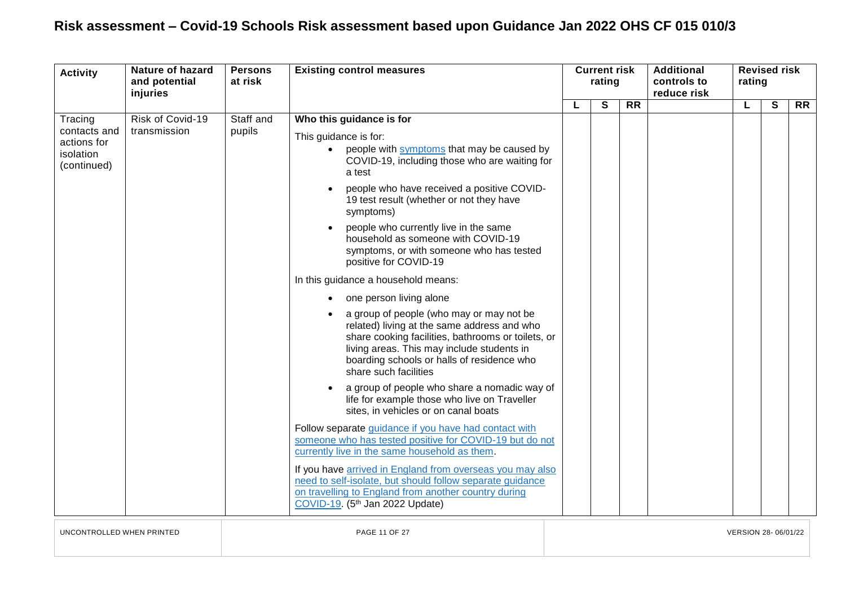| <b>Activity</b>                                                    | <b>Nature of hazard</b><br>and potential<br>injuries | <b>Persons</b><br>at risk | <b>Existing control measures</b>                                                                                                                                                                                                                                                                                                                                                                                                                                                                                                                                                                                                                                                                                                                                                                                                                                                                                                                                                                                                                                                                                                                                                                                                                                                                                         | <b>Current risk</b><br>rating |   |                 |  |  |   | <b>Additional</b><br>controls to<br>reduce risk | rating | <b>Revised risk</b> |  |
|--------------------------------------------------------------------|------------------------------------------------------|---------------------------|--------------------------------------------------------------------------------------------------------------------------------------------------------------------------------------------------------------------------------------------------------------------------------------------------------------------------------------------------------------------------------------------------------------------------------------------------------------------------------------------------------------------------------------------------------------------------------------------------------------------------------------------------------------------------------------------------------------------------------------------------------------------------------------------------------------------------------------------------------------------------------------------------------------------------------------------------------------------------------------------------------------------------------------------------------------------------------------------------------------------------------------------------------------------------------------------------------------------------------------------------------------------------------------------------------------------------|-------------------------------|---|-----------------|--|--|---|-------------------------------------------------|--------|---------------------|--|
|                                                                    |                                                      |                           |                                                                                                                                                                                                                                                                                                                                                                                                                                                                                                                                                                                                                                                                                                                                                                                                                                                                                                                                                                                                                                                                                                                                                                                                                                                                                                                          |                               | S | $\overline{RR}$ |  |  | S | $\overline{RR}$                                 |        |                     |  |
| Tracing<br>contacts and<br>actions for<br>isolation<br>(continued) | Risk of Covid-19<br>transmission                     | Staff and<br>pupils       | Who this guidance is for<br>This guidance is for:<br>people with symptoms that may be caused by<br>$\bullet$<br>COVID-19, including those who are waiting for<br>a test<br>people who have received a positive COVID-<br>19 test result (whether or not they have<br>symptoms)<br>people who currently live in the same<br>household as someone with COVID-19<br>symptoms, or with someone who has tested<br>positive for COVID-19<br>In this guidance a household means:<br>one person living alone<br>a group of people (who may or may not be<br>related) living at the same address and who<br>share cooking facilities, bathrooms or toilets, or<br>living areas. This may include students in<br>boarding schools or halls of residence who<br>share such facilities<br>a group of people who share a nomadic way of<br>life for example those who live on Traveller<br>sites, in vehicles or on canal boats<br>Follow separate guidance if you have had contact with<br>someone who has tested positive for COVID-19 but do not<br>currently live in the same household as them.<br>If you have arrived in England from overseas you may also<br>need to self-isolate, but should follow separate guidance<br>on travelling to England from another country during<br>COVID-19. (5 <sup>th</sup> Jan 2022 Update) |                               |   |                 |  |  |   |                                                 |        |                     |  |

UNCONTROLLED WHEN PRINTED PAGE 11 OF 27 VERSION 28- 06/01/22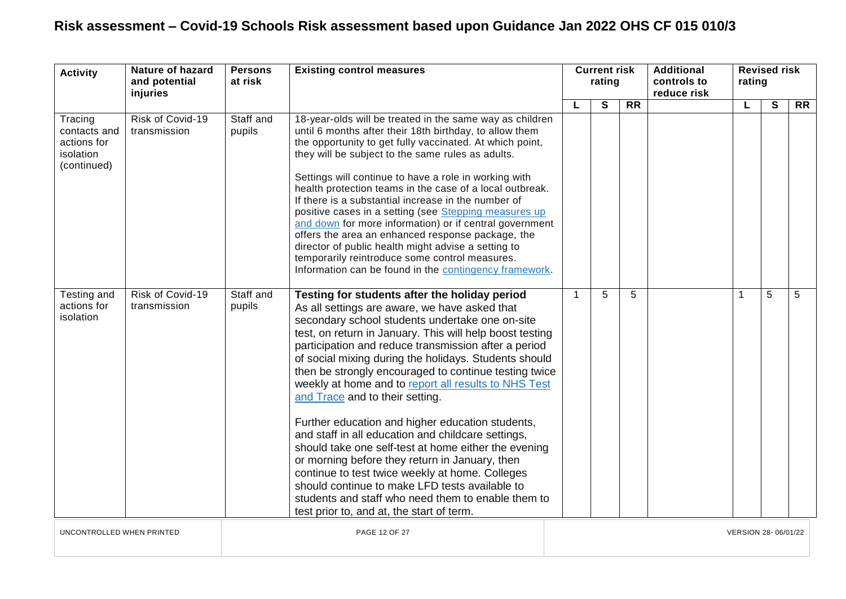| <b>Activity</b>                                                    | <b>Nature of hazard</b><br>and potential<br>injuries              | <b>Persons</b><br>at risk | <b>Existing control measures</b>                                                                                                                                                                                                                                                                                                                                                                                                                                                                                                                                                                                                                                                                                                                                                                                                                                                                               |             | <b>Current risk</b><br>rating |                 | <b>Additional</b><br>controls to<br>reduce risk | <b>Revised risk</b><br>rating |              |                 |
|--------------------------------------------------------------------|-------------------------------------------------------------------|---------------------------|----------------------------------------------------------------------------------------------------------------------------------------------------------------------------------------------------------------------------------------------------------------------------------------------------------------------------------------------------------------------------------------------------------------------------------------------------------------------------------------------------------------------------------------------------------------------------------------------------------------------------------------------------------------------------------------------------------------------------------------------------------------------------------------------------------------------------------------------------------------------------------------------------------------|-------------|-------------------------------|-----------------|-------------------------------------------------|-------------------------------|--------------|-----------------|
| Tracing<br>contacts and<br>actions for<br>isolation<br>(continued) | Risk of Covid-19<br>transmission                                  | Staff and<br>pupils       | 18-year-olds will be treated in the same way as children<br>until 6 months after their 18th birthday, to allow them<br>the opportunity to get fully vaccinated. At which point,<br>they will be subject to the same rules as adults.<br>Settings will continue to have a role in working with<br>health protection teams in the case of a local outbreak.<br>If there is a substantial increase in the number of<br>positive cases in a setting (see Stepping measures up<br>and down for more information) or if central government<br>offers the area an enhanced response package, the<br>director of public health might advise a setting to<br>temporarily reintroduce some control measures.<br>Information can be found in the contingency framework.                                                                                                                                                   | L           | S                             | $\overline{RR}$ |                                                 | L                             | $\mathbf{s}$ | $\overline{RR}$ |
| Testing and<br>actions for<br>isolation                            | Risk of Covid-19<br>transmission                                  | Staff and<br>pupils       | Testing for students after the holiday period<br>As all settings are aware, we have asked that<br>secondary school students undertake one on-site<br>test, on return in January. This will help boost testing<br>participation and reduce transmission after a period<br>of social mixing during the holidays. Students should<br>then be strongly encouraged to continue testing twice<br>weekly at home and to report all results to NHS Test<br>and Trace and to their setting.<br>Further education and higher education students,<br>and staff in all education and childcare settings,<br>should take one self-test at home either the evening<br>or morning before they return in January, then<br>continue to test twice weekly at home. Colleges<br>should continue to make LFD tests available to<br>students and staff who need them to enable them to<br>test prior to, and at, the start of term. | $\mathbf 1$ | 5                             | 5               |                                                 |                               | 5            | 5               |
|                                                                    | PAGE 12 OF 27<br>UNCONTROLLED WHEN PRINTED<br>VERSION 28-06/01/22 |                           |                                                                                                                                                                                                                                                                                                                                                                                                                                                                                                                                                                                                                                                                                                                                                                                                                                                                                                                |             |                               |                 |                                                 |                               |              |                 |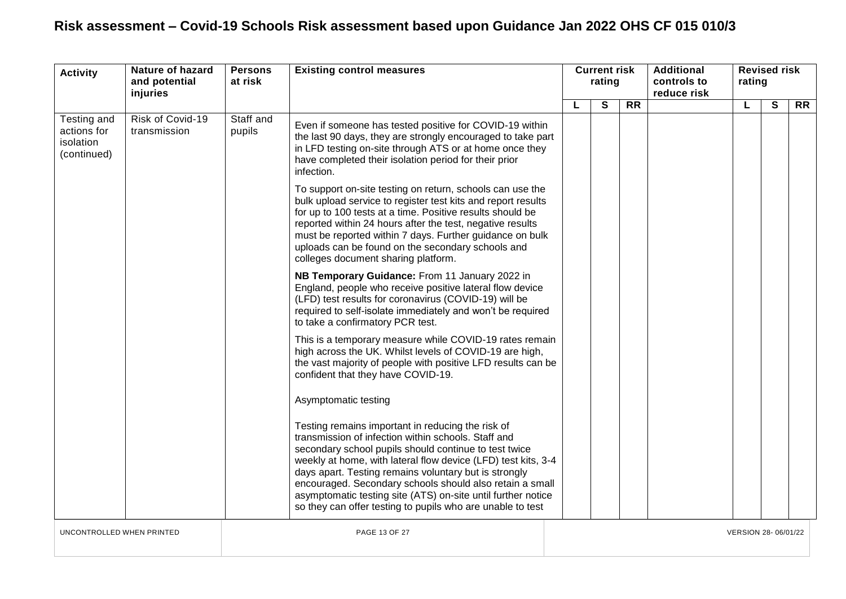<span id="page-12-0"></span>

| <b>Activity</b>                                        | <b>Nature of hazard</b><br>and potential<br>injuries | <b>Persons</b><br>at risk | <b>Existing control measures</b>                                                                                                                                                                                                                                                                                                                                                                                                                                                      | <b>Current risk</b><br>rating |   |           | <b>Additional</b><br>controls to<br>reduce risk | rating | <b>Revised risk</b> |           |
|--------------------------------------------------------|------------------------------------------------------|---------------------------|---------------------------------------------------------------------------------------------------------------------------------------------------------------------------------------------------------------------------------------------------------------------------------------------------------------------------------------------------------------------------------------------------------------------------------------------------------------------------------------|-------------------------------|---|-----------|-------------------------------------------------|--------|---------------------|-----------|
|                                                        |                                                      |                           |                                                                                                                                                                                                                                                                                                                                                                                                                                                                                       |                               | S | <b>RR</b> |                                                 | L      | S                   | <b>RR</b> |
| Testing and<br>actions for<br>isolation<br>(continued) | Risk of Covid-19<br>transmission                     | Staff and<br>pupils       | Even if someone has tested positive for COVID-19 within<br>the last 90 days, they are strongly encouraged to take part<br>in LFD testing on-site through ATS or at home once they<br>have completed their isolation period for their prior<br>infection.                                                                                                                                                                                                                              |                               |   |           |                                                 |        |                     |           |
|                                                        |                                                      |                           | To support on-site testing on return, schools can use the<br>bulk upload service to register test kits and report results<br>for up to 100 tests at a time. Positive results should be<br>reported within 24 hours after the test, negative results<br>must be reported within 7 days. Further guidance on bulk<br>uploads can be found on the secondary schools and<br>colleges document sharing platform.                                                                           |                               |   |           |                                                 |        |                     |           |
|                                                        |                                                      |                           | NB Temporary Guidance: From 11 January 2022 in<br>England, people who receive positive lateral flow device<br>(LFD) test results for coronavirus (COVID-19) will be<br>required to self-isolate immediately and won't be required<br>to take a confirmatory PCR test.                                                                                                                                                                                                                 |                               |   |           |                                                 |        |                     |           |
|                                                        |                                                      |                           | This is a temporary measure while COVID-19 rates remain<br>high across the UK. Whilst levels of COVID-19 are high,<br>the vast majority of people with positive LFD results can be<br>confident that they have COVID-19.                                                                                                                                                                                                                                                              |                               |   |           |                                                 |        |                     |           |
|                                                        |                                                      |                           | Asymptomatic testing                                                                                                                                                                                                                                                                                                                                                                                                                                                                  |                               |   |           |                                                 |        |                     |           |
|                                                        |                                                      |                           | Testing remains important in reducing the risk of<br>transmission of infection within schools. Staff and<br>secondary school pupils should continue to test twice<br>weekly at home, with lateral flow device (LFD) test kits, 3-4<br>days apart. Testing remains voluntary but is strongly<br>encouraged. Secondary schools should also retain a small<br>asymptomatic testing site (ATS) on-site until further notice<br>so they can offer testing to pupils who are unable to test |                               |   |           |                                                 |        |                     |           |
| UNCONTROLLED WHEN PRINTED                              |                                                      |                           | PAGE 13 OF 27                                                                                                                                                                                                                                                                                                                                                                                                                                                                         | VERSION 28-06/01/22           |   |           |                                                 |        |                     |           |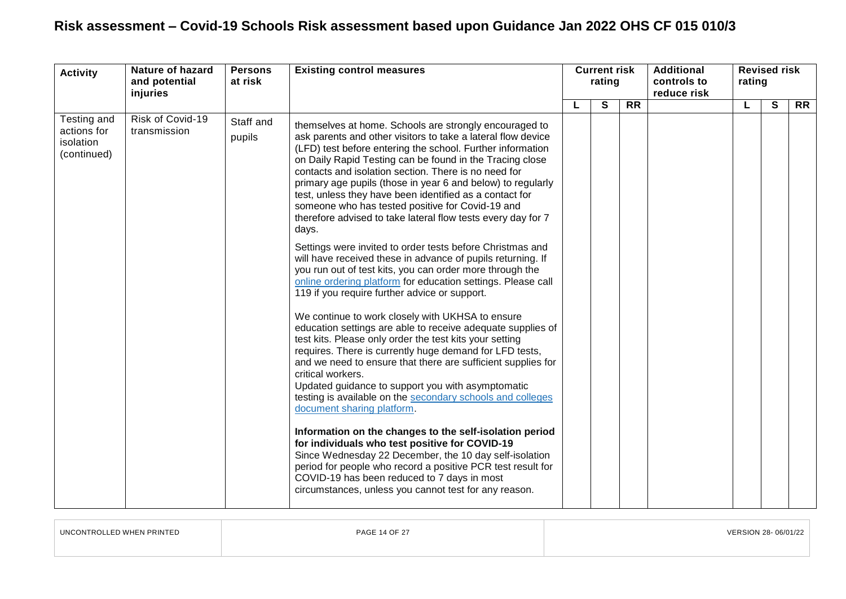| <b>Activity</b>                                        | <b>Nature of hazard</b><br>and potential<br>injuries | <b>Persons</b><br>at risk | <b>Existing control measures</b>                                                                                                                                                                                                                                                                                                                                                                                                                                                                                                                                                                                                                                                                                                                                                                                                                                                                                                                                                                                                                                                                                                                                                                                                                                                                                                                                                                                                                                                                                                                                                                                                                                                                      | <b>Current risk</b><br>rating |   |                 |  |   |              |                 |  |  | <b>Additional</b><br>controls to |  |  |  |  | reduce risk | <b>Revised risk</b><br>rating |  |  |
|--------------------------------------------------------|------------------------------------------------------|---------------------------|-------------------------------------------------------------------------------------------------------------------------------------------------------------------------------------------------------------------------------------------------------------------------------------------------------------------------------------------------------------------------------------------------------------------------------------------------------------------------------------------------------------------------------------------------------------------------------------------------------------------------------------------------------------------------------------------------------------------------------------------------------------------------------------------------------------------------------------------------------------------------------------------------------------------------------------------------------------------------------------------------------------------------------------------------------------------------------------------------------------------------------------------------------------------------------------------------------------------------------------------------------------------------------------------------------------------------------------------------------------------------------------------------------------------------------------------------------------------------------------------------------------------------------------------------------------------------------------------------------------------------------------------------------------------------------------------------------|-------------------------------|---|-----------------|--|---|--------------|-----------------|--|--|----------------------------------|--|--|--|--|-------------|-------------------------------|--|--|
|                                                        |                                                      |                           |                                                                                                                                                                                                                                                                                                                                                                                                                                                                                                                                                                                                                                                                                                                                                                                                                                                                                                                                                                                                                                                                                                                                                                                                                                                                                                                                                                                                                                                                                                                                                                                                                                                                                                       |                               | S | $\overline{RR}$ |  | L | $\mathbf{s}$ | $\overline{RR}$ |  |  |                                  |  |  |  |  |             |                               |  |  |
| Testing and<br>actions for<br>isolation<br>(continued) | Risk of Covid-19<br>transmission                     | Staff and<br>pupils       | themselves at home. Schools are strongly encouraged to<br>ask parents and other visitors to take a lateral flow device<br>(LFD) test before entering the school. Further information<br>on Daily Rapid Testing can be found in the Tracing close<br>contacts and isolation section. There is no need for<br>primary age pupils (those in year 6 and below) to regularly<br>test, unless they have been identified as a contact for<br>someone who has tested positive for Covid-19 and<br>therefore advised to take lateral flow tests every day for 7<br>days.<br>Settings were invited to order tests before Christmas and<br>will have received these in advance of pupils returning. If<br>you run out of test kits, you can order more through the<br>online ordering platform for education settings. Please call<br>119 if you require further advice or support.<br>We continue to work closely with UKHSA to ensure<br>education settings are able to receive adequate supplies of<br>test kits. Please only order the test kits your setting<br>requires. There is currently huge demand for LFD tests,<br>and we need to ensure that there are sufficient supplies for<br>critical workers.<br>Updated guidance to support you with asymptomatic<br>testing is available on the secondary schools and colleges<br>document sharing platform.<br>Information on the changes to the self-isolation period<br>for individuals who test positive for COVID-19<br>Since Wednesday 22 December, the 10 day self-isolation<br>period for people who record a positive PCR test result for<br>COVID-19 has been reduced to 7 days in most<br>circumstances, unless you cannot test for any reason. |                               |   |                 |  |   |              |                 |  |  |                                  |  |  |  |  |             |                               |  |  |

| UNCONTROLLED WHEN PRINTED | <b>PAGE 14 OF 27</b> | VERSION 28-06/01/22 |
|---------------------------|----------------------|---------------------|
|                           |                      |                     |
|                           |                      |                     |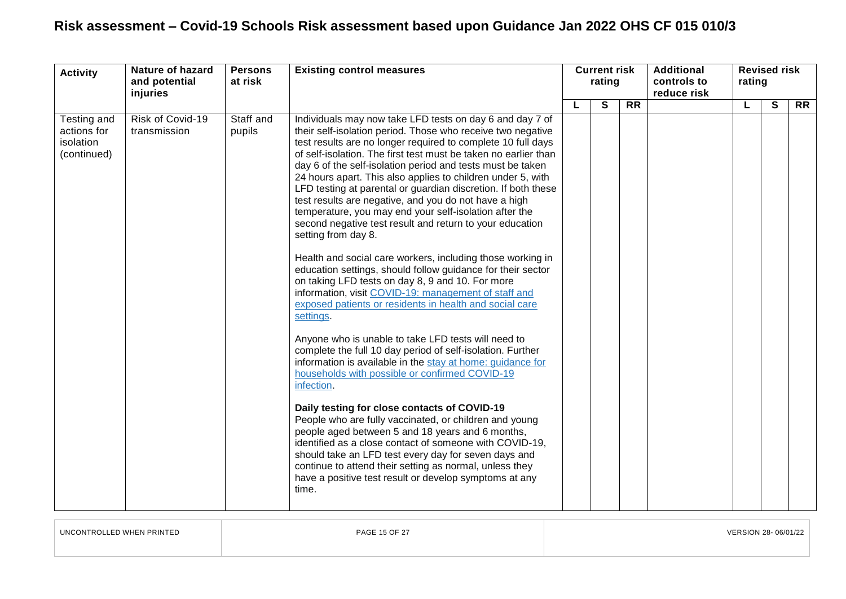| <b>Activity</b>                                        | <b>Nature of hazard</b><br>and potential<br>injuries | <b>Persons</b><br>at risk | <b>Existing control measures</b>                                                                                                                                                                                                                                                                                                                                                                                                                                                                                                                                                                                                                                                                                                                                                                                                                                                                                                                                                                                                                                                                                                                                                                                                                                                                                                                                                                                                                                                                                                                                                                                                                  | rating |   |           | <b>Current risk</b> |   |              | <b>Additional</b><br>controls to<br>reduce risk | rating | <b>Revised risk</b> |  |
|--------------------------------------------------------|------------------------------------------------------|---------------------------|---------------------------------------------------------------------------------------------------------------------------------------------------------------------------------------------------------------------------------------------------------------------------------------------------------------------------------------------------------------------------------------------------------------------------------------------------------------------------------------------------------------------------------------------------------------------------------------------------------------------------------------------------------------------------------------------------------------------------------------------------------------------------------------------------------------------------------------------------------------------------------------------------------------------------------------------------------------------------------------------------------------------------------------------------------------------------------------------------------------------------------------------------------------------------------------------------------------------------------------------------------------------------------------------------------------------------------------------------------------------------------------------------------------------------------------------------------------------------------------------------------------------------------------------------------------------------------------------------------------------------------------------------|--------|---|-----------|---------------------|---|--------------|-------------------------------------------------|--------|---------------------|--|
|                                                        |                                                      |                           |                                                                                                                                                                                                                                                                                                                                                                                                                                                                                                                                                                                                                                                                                                                                                                                                                                                                                                                                                                                                                                                                                                                                                                                                                                                                                                                                                                                                                                                                                                                                                                                                                                                   |        | S | <b>RR</b> |                     | L | $\mathbf{s}$ | <b>RR</b>                                       |        |                     |  |
| Testing and<br>actions for<br>isolation<br>(continued) | Risk of Covid-19<br>transmission                     | Staff and<br>pupils       | Individuals may now take LFD tests on day 6 and day 7 of<br>their self-isolation period. Those who receive two negative<br>test results are no longer required to complete 10 full days<br>of self-isolation. The first test must be taken no earlier than<br>day 6 of the self-isolation period and tests must be taken<br>24 hours apart. This also applies to children under 5, with<br>LFD testing at parental or guardian discretion. If both these<br>test results are negative, and you do not have a high<br>temperature, you may end your self-isolation after the<br>second negative test result and return to your education<br>setting from day 8.<br>Health and social care workers, including those working in<br>education settings, should follow guidance for their sector<br>on taking LFD tests on day 8, 9 and 10. For more<br>information, visit COVID-19: management of staff and<br>exposed patients or residents in health and social care<br>settings.<br>Anyone who is unable to take LFD tests will need to<br>complete the full 10 day period of self-isolation. Further<br>information is available in the stay at home: guidance for<br>households with possible or confirmed COVID-19<br>infection.<br>Daily testing for close contacts of COVID-19<br>People who are fully vaccinated, or children and young<br>people aged between 5 and 18 years and 6 months,<br>identified as a close contact of someone with COVID-19,<br>should take an LFD test every day for seven days and<br>continue to attend their setting as normal, unless they<br>have a positive test result or develop symptoms at any<br>time. |        |   |           |                     |   |              |                                                 |        |                     |  |

UNCONTROLLED WHEN PRINTED PAGE 15 OF 27 VERSION 28- 06/01/22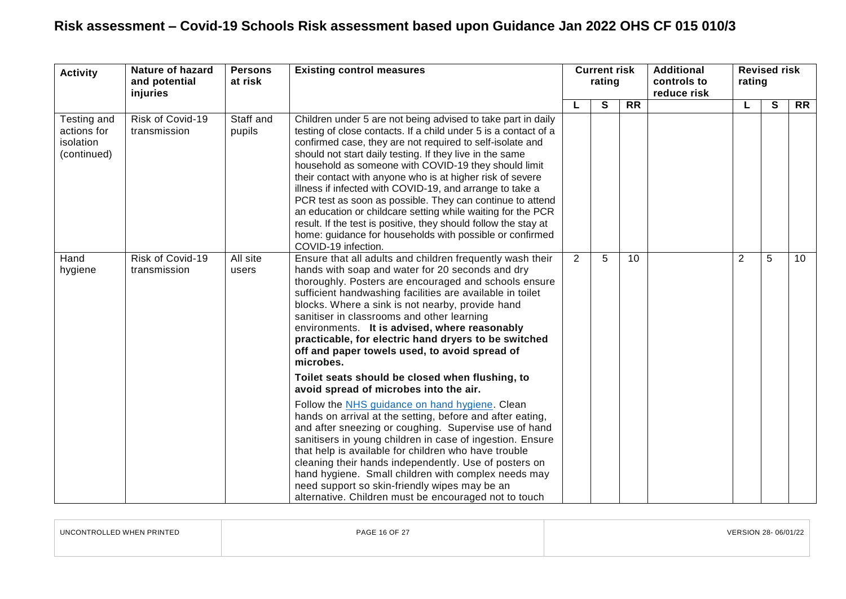| <b>Activity</b>                                        | Nature of hazard<br>and potential<br>injuries | <b>Persons</b><br>at risk | <b>Existing control measures</b>                                                                                                                                                                                                                                                                                                                                                                                                                                                                                                                                                                                                                                                                                            | <b>Current risk</b><br>rating |   |                 | <b>Additional</b><br>controls to<br>reduce risk | <b>Revised risk</b><br>rating |   |                 |
|--------------------------------------------------------|-----------------------------------------------|---------------------------|-----------------------------------------------------------------------------------------------------------------------------------------------------------------------------------------------------------------------------------------------------------------------------------------------------------------------------------------------------------------------------------------------------------------------------------------------------------------------------------------------------------------------------------------------------------------------------------------------------------------------------------------------------------------------------------------------------------------------------|-------------------------------|---|-----------------|-------------------------------------------------|-------------------------------|---|-----------------|
|                                                        |                                               |                           |                                                                                                                                                                                                                                                                                                                                                                                                                                                                                                                                                                                                                                                                                                                             |                               | S | $\overline{RR}$ |                                                 |                               | S | $\overline{RR}$ |
| Testing and<br>actions for<br>isolation<br>(continued) | Risk of Covid-19<br>transmission              | Staff and<br>pupils       | Children under 5 are not being advised to take part in daily<br>testing of close contacts. If a child under 5 is a contact of a<br>confirmed case, they are not required to self-isolate and<br>should not start daily testing. If they live in the same<br>household as someone with COVID-19 they should limit<br>their contact with anyone who is at higher risk of severe<br>illness if infected with COVID-19, and arrange to take a<br>PCR test as soon as possible. They can continue to attend<br>an education or childcare setting while waiting for the PCR<br>result. If the test is positive, they should follow the stay at<br>home: guidance for households with possible or confirmed<br>COVID-19 infection. |                               |   |                 |                                                 |                               |   |                 |
| Hand<br>hygiene                                        | Risk of Covid-19<br>transmission              | All site<br>users         | Ensure that all adults and children frequently wash their<br>hands with soap and water for 20 seconds and dry<br>thoroughly. Posters are encouraged and schools ensure<br>sufficient handwashing facilities are available in toilet<br>blocks. Where a sink is not nearby, provide hand<br>sanitiser in classrooms and other learning<br>environments. It is advised, where reasonably<br>practicable, for electric hand dryers to be switched<br>off and paper towels used, to avoid spread of<br>microbes.                                                                                                                                                                                                                | $\overline{2}$                | 5 | 10              |                                                 | $\overline{2}$                | 5 | 10 <sup>°</sup> |
|                                                        |                                               |                           | Toilet seats should be closed when flushing, to<br>avoid spread of microbes into the air.                                                                                                                                                                                                                                                                                                                                                                                                                                                                                                                                                                                                                                   |                               |   |                 |                                                 |                               |   |                 |
|                                                        |                                               |                           | Follow the NHS guidance on hand hygiene. Clean<br>hands on arrival at the setting, before and after eating,<br>and after sneezing or coughing. Supervise use of hand<br>sanitisers in young children in case of ingestion. Ensure<br>that help is available for children who have trouble<br>cleaning their hands independently. Use of posters on<br>hand hygiene. Small children with complex needs may<br>need support so skin-friendly wipes may be an<br>alternative. Children must be encouraged not to touch                                                                                                                                                                                                         |                               |   |                 |                                                 |                               |   |                 |

| UNCONTROLLED WHEN PRINTED | PAGE 16 OF 27 | VERSION 28-06/01/22 |
|---------------------------|---------------|---------------------|
|                           |               |                     |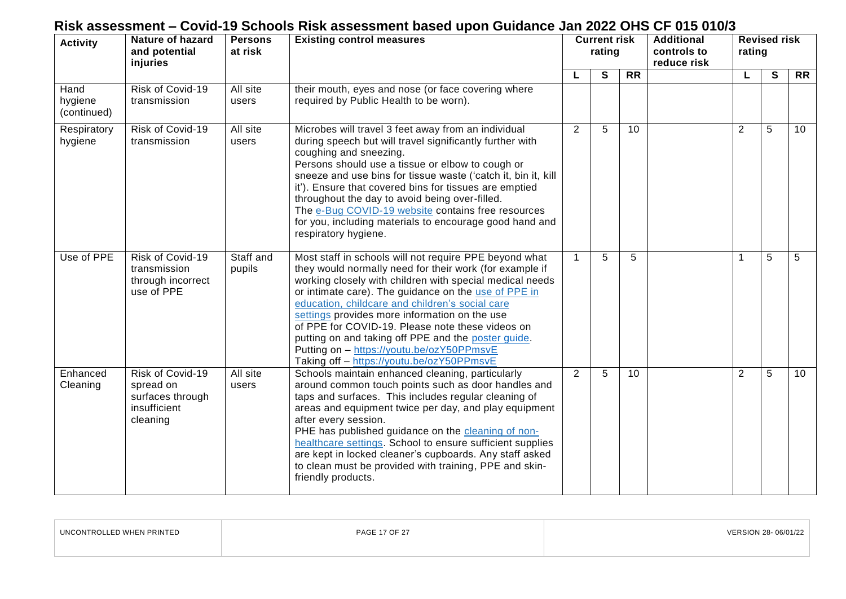| <b>Activity</b>                | Nature of hazard<br>and potential<br>injuries                                 | <b>Persons</b><br>at risk | <b>Existing control measures</b>                                                                                                                                                                                                                                                                                                                                                                                                                                                                                                               | <b>Current risk</b><br>rating |   |                 | <b>Additional</b><br>controls to<br>reduce risk | <b>Revised risk</b><br>rating |              |                 |
|--------------------------------|-------------------------------------------------------------------------------|---------------------------|------------------------------------------------------------------------------------------------------------------------------------------------------------------------------------------------------------------------------------------------------------------------------------------------------------------------------------------------------------------------------------------------------------------------------------------------------------------------------------------------------------------------------------------------|-------------------------------|---|-----------------|-------------------------------------------------|-------------------------------|--------------|-----------------|
| Hand<br>hygiene<br>(continued) | Risk of Covid-19<br>transmission                                              | All site<br>users         | their mouth, eyes and nose (or face covering where<br>required by Public Health to be worn).                                                                                                                                                                                                                                                                                                                                                                                                                                                   |                               | S | $\overline{RR}$ |                                                 |                               | $\mathbf{s}$ | $\overline{RR}$ |
| Respiratory<br>hygiene         | Risk of Covid-19<br>transmission                                              | All site<br>users         | Microbes will travel 3 feet away from an individual<br>during speech but will travel significantly further with<br>coughing and sneezing.<br>Persons should use a tissue or elbow to cough or<br>sneeze and use bins for tissue waste ('catch it, bin it, kill<br>it'). Ensure that covered bins for tissues are emptied<br>throughout the day to avoid being over-filled.<br>The e-Bug COVID-19 website contains free resources<br>for you, including materials to encourage good hand and<br>respiratory hygiene.                            | $\overline{2}$                | 5 | 10              |                                                 | $\overline{2}$                | 5            | 10 <sup>1</sup> |
| Use of PPE                     | Risk of Covid-19<br>transmission<br>through incorrect<br>use of PPE           | Staff and<br>pupils       | Most staff in schools will not require PPE beyond what<br>they would normally need for their work (for example if<br>working closely with children with special medical needs<br>or intimate care). The guidance on the use of PPE in<br>education, childcare and children's social care<br>settings provides more information on the use<br>of PPE for COVID-19. Please note these videos on<br>putting on and taking off PPE and the poster quide.<br>Putting on - https://youtu.be/ozY50PPmsvE<br>Taking off - https://youtu.be/ozY50PPmsvE | $\mathbf{1}$                  | 5 | 5               |                                                 | 1                             | 5            | 5               |
| Enhanced<br>Cleaning           | Risk of Covid-19<br>spread on<br>surfaces through<br>insufficient<br>cleaning | All site<br>users         | Schools maintain enhanced cleaning, particularly<br>around common touch points such as door handles and<br>taps and surfaces. This includes regular cleaning of<br>areas and equipment twice per day, and play equipment<br>after every session.<br>PHE has published guidance on the cleaning of non-<br>healthcare settings. School to ensure sufficient supplies<br>are kept in locked cleaner's cupboards. Any staff asked<br>to clean must be provided with training, PPE and skin-<br>friendly products.                                 | 2                             | 5 | 10              |                                                 | $\overline{2}$                | 5            | 10 <sup>°</sup> |

| UNCONTROLLED WHEN PRINTED | <b>PAGE 17 OF 27</b> | VERSION 28-06/01/22 |
|---------------------------|----------------------|---------------------|
|                           |                      |                     |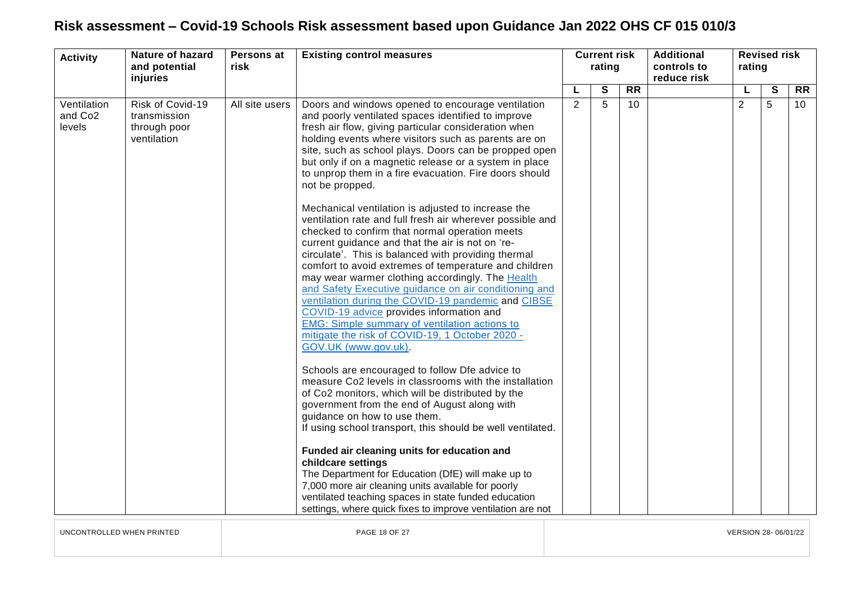| <b>Activity</b>                              | <b>Nature of hazard</b><br>and potential<br>injuries            | Persons at<br>risk | <b>Existing control measures</b>                                                                                                                                                                                                                                                                                                                                                                                                                                                                                                                                                                                                                                                                                                                                                                                                                                                                                                                                     | <b>Current risk</b><br>rating |              |    |  |                |              | <b>Additional</b><br>controls to<br>reduce risk | <b>Revised risk</b><br>rating |  |  |  |  |
|----------------------------------------------|-----------------------------------------------------------------|--------------------|----------------------------------------------------------------------------------------------------------------------------------------------------------------------------------------------------------------------------------------------------------------------------------------------------------------------------------------------------------------------------------------------------------------------------------------------------------------------------------------------------------------------------------------------------------------------------------------------------------------------------------------------------------------------------------------------------------------------------------------------------------------------------------------------------------------------------------------------------------------------------------------------------------------------------------------------------------------------|-------------------------------|--------------|----|--|----------------|--------------|-------------------------------------------------|-------------------------------|--|--|--|--|
|                                              |                                                                 |                    |                                                                                                                                                                                                                                                                                                                                                                                                                                                                                                                                                                                                                                                                                                                                                                                                                                                                                                                                                                      | L                             | $\mathbf{s}$ | RR |  | L              | $\mathbf{s}$ | <b>RR</b>                                       |                               |  |  |  |  |
| Ventilation<br>and Co <sub>2</sub><br>levels | Risk of Covid-19<br>transmission<br>through poor<br>ventilation | All site users     | Doors and windows opened to encourage ventilation<br>and poorly ventilated spaces identified to improve<br>fresh air flow, giving particular consideration when<br>holding events where visitors such as parents are on<br>site, such as school plays. Doors can be propped open<br>but only if on a magnetic release or a system in place<br>to unprop them in a fire evacuation. Fire doors should<br>not be propped.<br>Mechanical ventilation is adjusted to increase the<br>ventilation rate and full fresh air wherever possible and<br>checked to confirm that normal operation meets<br>current guidance and that the air is not on 're-<br>circulate'. This is balanced with providing thermal<br>comfort to avoid extremes of temperature and children                                                                                                                                                                                                     | $\overline{2}$                | 5            | 10 |  | $\overline{2}$ | 5            | 10 <sup>°</sup>                                 |                               |  |  |  |  |
|                                              |                                                                 |                    | may wear warmer clothing accordingly. The Health<br>and Safety Executive guidance on air conditioning and<br>ventilation during the COVID-19 pandemic and CIBSE<br>COVID-19 advice provides information and<br><b>EMG: Simple summary of ventilation actions to</b><br>mitigate the risk of COVID-19, 1 October 2020 -<br>GOV.UK (www.gov.uk).<br>Schools are encouraged to follow Dfe advice to<br>measure Co2 levels in classrooms with the installation<br>of Co2 monitors, which will be distributed by the<br>government from the end of August along with<br>guidance on how to use them.<br>If using school transport, this should be well ventilated.<br>Funded air cleaning units for education and<br>childcare settings<br>The Department for Education (DfE) will make up to<br>7,000 more air cleaning units available for poorly<br>ventilated teaching spaces in state funded education<br>settings, where quick fixes to improve ventilation are not |                               |              |    |  |                |              |                                                 |                               |  |  |  |  |

UNCONTROLLED WHEN PRINTED PAGE 18 OF 27 VERSION 28- 06/01/22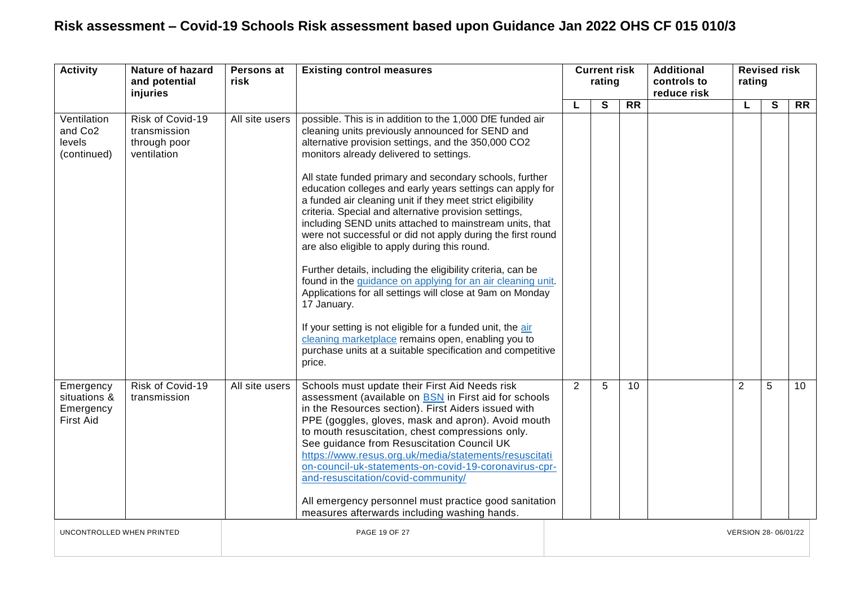| <b>Activity</b>                                            | <b>Nature of hazard</b><br>and potential<br>injuries | Persons at<br>risk | <b>Existing control measures</b>                                                                                                                                                                                                                                                                                                                                                                                                                                                                                                                                                                                                 |   | <b>Current risk</b><br>rating |           | <b>Additional</b><br>controls to<br>reduce risk | <b>Revised risk</b><br>rating |              |           |
|------------------------------------------------------------|------------------------------------------------------|--------------------|----------------------------------------------------------------------------------------------------------------------------------------------------------------------------------------------------------------------------------------------------------------------------------------------------------------------------------------------------------------------------------------------------------------------------------------------------------------------------------------------------------------------------------------------------------------------------------------------------------------------------------|---|-------------------------------|-----------|-------------------------------------------------|-------------------------------|--------------|-----------|
| Ventilation                                                | Risk of Covid-19                                     | All site users     | possible. This is in addition to the 1,000 DfE funded air                                                                                                                                                                                                                                                                                                                                                                                                                                                                                                                                                                        |   | S                             | <b>RR</b> |                                                 | L                             | $\mathbf{s}$ | <b>RR</b> |
| and Co <sub>2</sub><br>levels<br>(continued)               | transmission<br>through poor<br>ventilation          |                    | cleaning units previously announced for SEND and<br>alternative provision settings, and the 350,000 CO2<br>monitors already delivered to settings.                                                                                                                                                                                                                                                                                                                                                                                                                                                                               |   |                               |           |                                                 |                               |              |           |
|                                                            |                                                      |                    | All state funded primary and secondary schools, further<br>education colleges and early years settings can apply for<br>a funded air cleaning unit if they meet strict eligibility<br>criteria. Special and alternative provision settings,<br>including SEND units attached to mainstream units, that<br>were not successful or did not apply during the first round<br>are also eligible to apply during this round.<br>Further details, including the eligibility criteria, can be<br>found in the guidance on applying for an air cleaning unit.<br>Applications for all settings will close at 9am on Monday<br>17 January. |   |                               |           |                                                 |                               |              |           |
|                                                            |                                                      |                    | If your setting is not eligible for a funded unit, the air<br>cleaning marketplace remains open, enabling you to<br>purchase units at a suitable specification and competitive<br>price.                                                                                                                                                                                                                                                                                                                                                                                                                                         |   |                               |           |                                                 |                               |              |           |
| Emergency<br>situations &<br>Emergency<br><b>First Aid</b> | Risk of Covid-19<br>transmission                     | All site users     | Schools must update their First Aid Needs risk<br>assessment (available on BSN in First aid for schools<br>in the Resources section). First Aiders issued with<br>PPE (goggles, gloves, mask and apron). Avoid mouth<br>to mouth resuscitation, chest compressions only.<br>See guidance from Resuscitation Council UK<br>https://www.resus.org.uk/media/statements/resuscitati<br>on-council-uk-statements-on-covid-19-coronavirus-cpr-<br>and-resuscitation/covid-community/<br>All emergency personnel must practice good sanitation<br>measures afterwards including washing hands.                                          | 2 | 5                             | 10        |                                                 | 2                             | 5            | 10        |
| UNCONTROLLED WHEN PRINTED                                  |                                                      |                    | PAGE 19 OF 27                                                                                                                                                                                                                                                                                                                                                                                                                                                                                                                                                                                                                    |   |                               |           |                                                 | VERSION 28- 06/01/22          |              |           |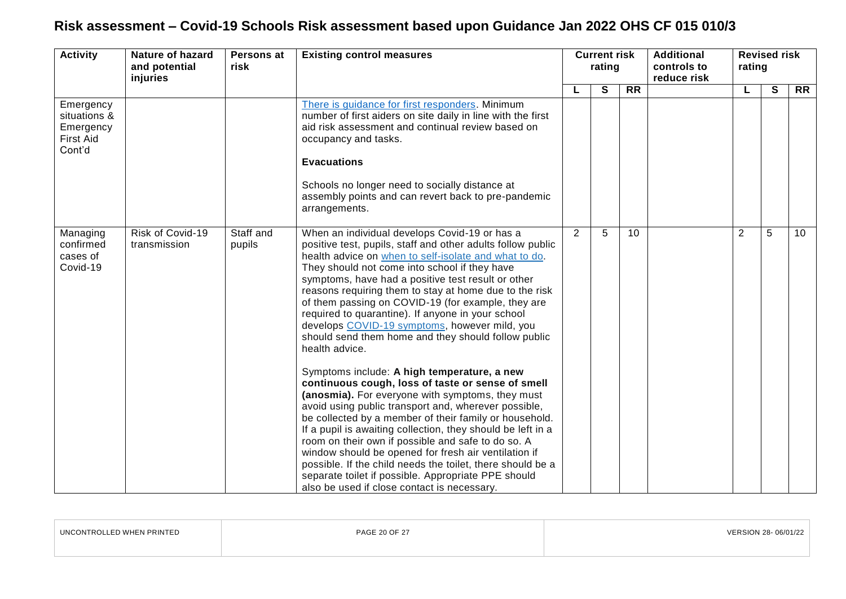| <b>Activity</b>                                                      | Nature of hazard<br>and potential<br>injuries | Persons at<br><b>Existing control measures</b><br>risk |                                                                                                                                                                                                                                                                                                                                                                                                                                                                                                                                                                                                                                                                                                                                                                                                                                                                                                                                                                                                                                    | <b>Current risk</b><br>rating |   | <b>Additional</b><br>controls to<br>reduce risk | <b>Revised risk</b><br>rating |                |              |           |
|----------------------------------------------------------------------|-----------------------------------------------|--------------------------------------------------------|------------------------------------------------------------------------------------------------------------------------------------------------------------------------------------------------------------------------------------------------------------------------------------------------------------------------------------------------------------------------------------------------------------------------------------------------------------------------------------------------------------------------------------------------------------------------------------------------------------------------------------------------------------------------------------------------------------------------------------------------------------------------------------------------------------------------------------------------------------------------------------------------------------------------------------------------------------------------------------------------------------------------------------|-------------------------------|---|-------------------------------------------------|-------------------------------|----------------|--------------|-----------|
|                                                                      |                                               |                                                        |                                                                                                                                                                                                                                                                                                                                                                                                                                                                                                                                                                                                                                                                                                                                                                                                                                                                                                                                                                                                                                    |                               | S | <b>RR</b>                                       |                               |                | $\mathbf{s}$ | <b>RR</b> |
| Emergency<br>situations &<br>Emergency<br><b>First Aid</b><br>Cont'd |                                               |                                                        | There is guidance for first responders. Minimum<br>number of first aiders on site daily in line with the first<br>aid risk assessment and continual review based on<br>occupancy and tasks.                                                                                                                                                                                                                                                                                                                                                                                                                                                                                                                                                                                                                                                                                                                                                                                                                                        |                               |   |                                                 |                               |                |              |           |
|                                                                      |                                               |                                                        | <b>Evacuations</b><br>Schools no longer need to socially distance at<br>assembly points and can revert back to pre-pandemic<br>arrangements.                                                                                                                                                                                                                                                                                                                                                                                                                                                                                                                                                                                                                                                                                                                                                                                                                                                                                       |                               |   |                                                 |                               |                |              |           |
| Managing<br>confirmed<br>cases of<br>Covid-19                        | Risk of Covid-19<br>transmission              | Staff and<br>pupils                                    | When an individual develops Covid-19 or has a<br>positive test, pupils, staff and other adults follow public<br>health advice on when to self-isolate and what to do.<br>They should not come into school if they have<br>symptoms, have had a positive test result or other<br>reasons requiring them to stay at home due to the risk<br>of them passing on COVID-19 (for example, they are<br>required to quarantine). If anyone in your school<br>develops COVID-19 symptoms, however mild, you<br>should send them home and they should follow public<br>health advice.<br>Symptoms include: A high temperature, a new<br>continuous cough, loss of taste or sense of smell<br>(anosmia). For everyone with symptoms, they must<br>avoid using public transport and, wherever possible,<br>be collected by a member of their family or household.<br>If a pupil is awaiting collection, they should be left in a<br>room on their own if possible and safe to do so. A<br>window should be opened for fresh air ventilation if | 2                             | 5 | 10                                              |                               | $\overline{2}$ | 5            | 10        |
|                                                                      |                                               |                                                        | possible. If the child needs the toilet, there should be a<br>separate toilet if possible. Appropriate PPE should<br>also be used if close contact is necessary.                                                                                                                                                                                                                                                                                                                                                                                                                                                                                                                                                                                                                                                                                                                                                                                                                                                                   |                               |   |                                                 |                               |                |              |           |

| WHEN PRINTED<br>π. | PAGF<br>$\cap$ $\cap$ $\cap$<br>$\sim$<br>. . | - 170<br>3/UT/ <i>Z</i> |
|--------------------|-----------------------------------------------|-------------------------|
|                    |                                               |                         |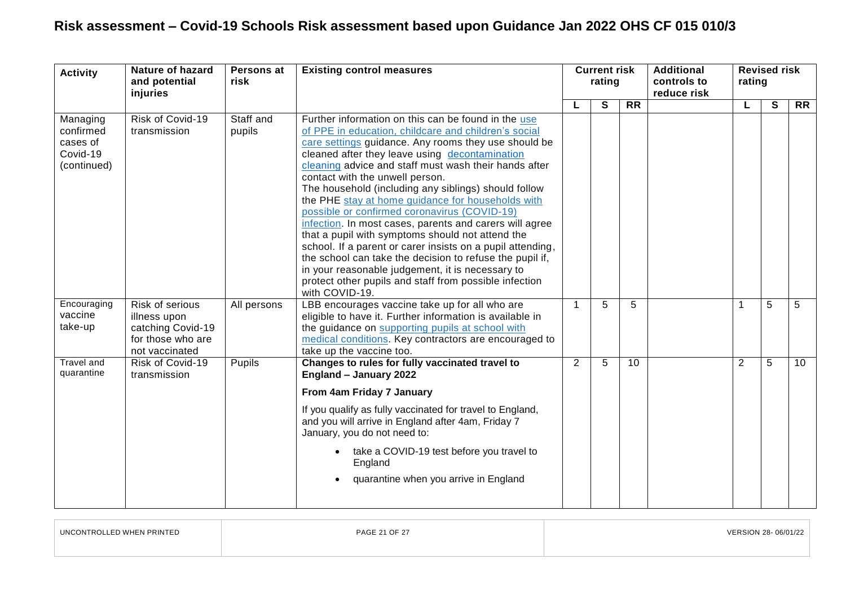| <b>Activity</b>                                              | <b>Nature of hazard</b><br>and potential<br>injuries                                        | Persons at<br>risk  | <b>Existing control measures</b>                                                                                                                                                                                                                                                                                                                                                                                                                                                                                                                                                                                                                                                                                                                                                                                                                        | <b>Additional</b><br><b>Current risk</b><br>rating<br>controls to<br>reduce risk | rating | <b>Revised risk</b> |  |   |   |                 |
|--------------------------------------------------------------|---------------------------------------------------------------------------------------------|---------------------|---------------------------------------------------------------------------------------------------------------------------------------------------------------------------------------------------------------------------------------------------------------------------------------------------------------------------------------------------------------------------------------------------------------------------------------------------------------------------------------------------------------------------------------------------------------------------------------------------------------------------------------------------------------------------------------------------------------------------------------------------------------------------------------------------------------------------------------------------------|----------------------------------------------------------------------------------|--------|---------------------|--|---|---|-----------------|
|                                                              |                                                                                             |                     |                                                                                                                                                                                                                                                                                                                                                                                                                                                                                                                                                                                                                                                                                                                                                                                                                                                         |                                                                                  | S      | <b>RR</b>           |  | L | S | <b>RR</b>       |
| Managing<br>confirmed<br>cases of<br>Covid-19<br>(continued) | Risk of Covid-19<br>transmission                                                            | Staff and<br>pupils | Further information on this can be found in the use<br>of PPE in education, childcare and children's social<br>care settings guidance. Any rooms they use should be<br>cleaned after they leave using decontamination<br>cleaning advice and staff must wash their hands after<br>contact with the unwell person.<br>The household (including any siblings) should follow<br>the PHE stay at home guidance for households with<br>possible or confirmed coronavirus (COVID-19)<br>infection. In most cases, parents and carers will agree<br>that a pupil with symptoms should not attend the<br>school. If a parent or carer insists on a pupil attending,<br>the school can take the decision to refuse the pupil if,<br>in your reasonable judgement, it is necessary to<br>protect other pupils and staff from possible infection<br>with COVID-19. |                                                                                  |        |                     |  |   |   |                 |
| Encouraging<br>vaccine<br>take-up                            | Risk of serious<br>illness upon<br>catching Covid-19<br>for those who are<br>not vaccinated | All persons         | LBB encourages vaccine take up for all who are<br>eligible to have it. Further information is available in<br>the guidance on supporting pupils at school with<br>medical conditions. Key contractors are encouraged to<br>take up the vaccine too.                                                                                                                                                                                                                                                                                                                                                                                                                                                                                                                                                                                                     | $\mathbf{1}$                                                                     | 5      | 5                   |  | 1 | 5 | 5               |
| <b>Travel and</b><br>quarantine                              | Risk of Covid-19<br>transmission                                                            | Pupils              | Changes to rules for fully vaccinated travel to<br>England - January 2022<br>From 4am Friday 7 January<br>If you qualify as fully vaccinated for travel to England,<br>and you will arrive in England after 4am, Friday 7<br>January, you do not need to:<br>take a COVID-19 test before you travel to<br>England<br>quarantine when you arrive in England                                                                                                                                                                                                                                                                                                                                                                                                                                                                                              | $\overline{2}$                                                                   | 5      | 10                  |  | 2 | 5 | 10 <sup>°</sup> |

| UNCONTROLLED WHEN PRINTED | PAGE 21 OF 27 | VERSION 28-06/01/22 |
|---------------------------|---------------|---------------------|
|                           |               |                     |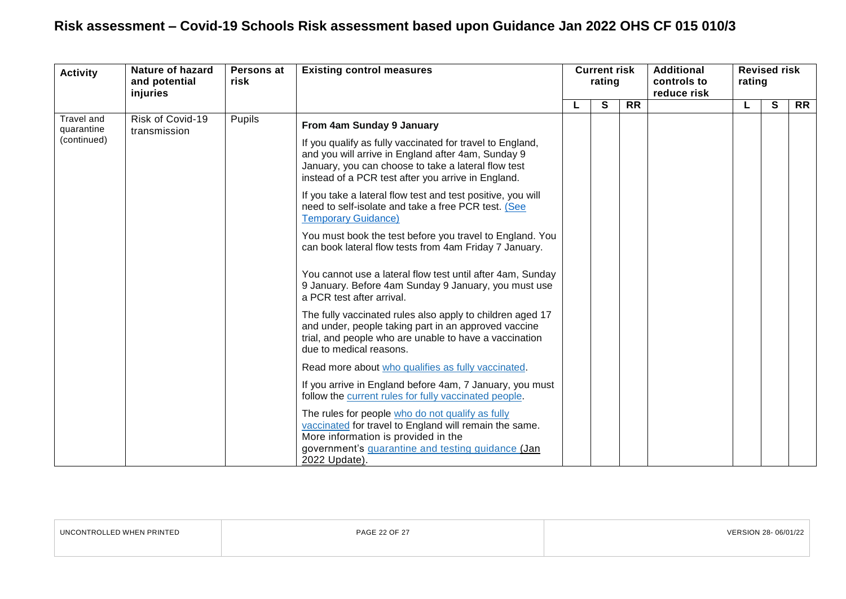| <b>Activity</b>          | Nature of hazard<br>and potential<br>injuries | Persons at<br>risk | <b>Existing control measures</b>                                                                                                                                                                                             | <b>Current risk</b><br>rating |   |           | <b>Additional</b><br>controls to<br>reduce risk | <b>Revised risk</b><br>rating |   |           |  |
|--------------------------|-----------------------------------------------|--------------------|------------------------------------------------------------------------------------------------------------------------------------------------------------------------------------------------------------------------------|-------------------------------|---|-----------|-------------------------------------------------|-------------------------------|---|-----------|--|
|                          |                                               |                    |                                                                                                                                                                                                                              |                               | S | <b>RR</b> |                                                 |                               | S | <b>RR</b> |  |
| Travel and<br>quarantine | Risk of Covid-19<br>transmission              | Pupils             | From 4am Sunday 9 January                                                                                                                                                                                                    |                               |   |           |                                                 |                               |   |           |  |
| (continued)              |                                               |                    | If you qualify as fully vaccinated for travel to England,<br>and you will arrive in England after 4am, Sunday 9<br>January, you can choose to take a lateral flow test<br>instead of a PCR test after you arrive in England. |                               |   |           |                                                 |                               |   |           |  |
|                          |                                               |                    | If you take a lateral flow test and test positive, you will<br>need to self-isolate and take a free PCR test. (See<br><b>Temporary Guidance)</b>                                                                             |                               |   |           |                                                 |                               |   |           |  |
|                          |                                               |                    | You must book the test before you travel to England. You<br>can book lateral flow tests from 4am Friday 7 January.                                                                                                           |                               |   |           |                                                 |                               |   |           |  |
|                          |                                               |                    | You cannot use a lateral flow test until after 4am, Sunday<br>9 January. Before 4am Sunday 9 January, you must use<br>a PCR test after arrival.                                                                              |                               |   |           |                                                 |                               |   |           |  |
|                          |                                               |                    | The fully vaccinated rules also apply to children aged 17<br>and under, people taking part in an approved vaccine<br>trial, and people who are unable to have a vaccination<br>due to medical reasons.                       |                               |   |           |                                                 |                               |   |           |  |
|                          |                                               |                    | Read more about who qualifies as fully vaccinated.                                                                                                                                                                           |                               |   |           |                                                 |                               |   |           |  |
|                          |                                               |                    | If you arrive in England before 4am, 7 January, you must<br>follow the current rules for fully vaccinated people.                                                                                                            |                               |   |           |                                                 |                               |   |           |  |
|                          |                                               |                    | The rules for people who do not qualify as fully<br>vaccinated for travel to England will remain the same.<br>More information is provided in the<br>government's quarantine and testing guidance (Jan<br>2022 Update).      |                               |   |           |                                                 |                               |   |           |  |

| UNCONTROLLED WHEN PRINTED | <b>PAGE 22 OF 27</b> | 06/01/22 |
|---------------------------|----------------------|----------|
|                           |                      |          |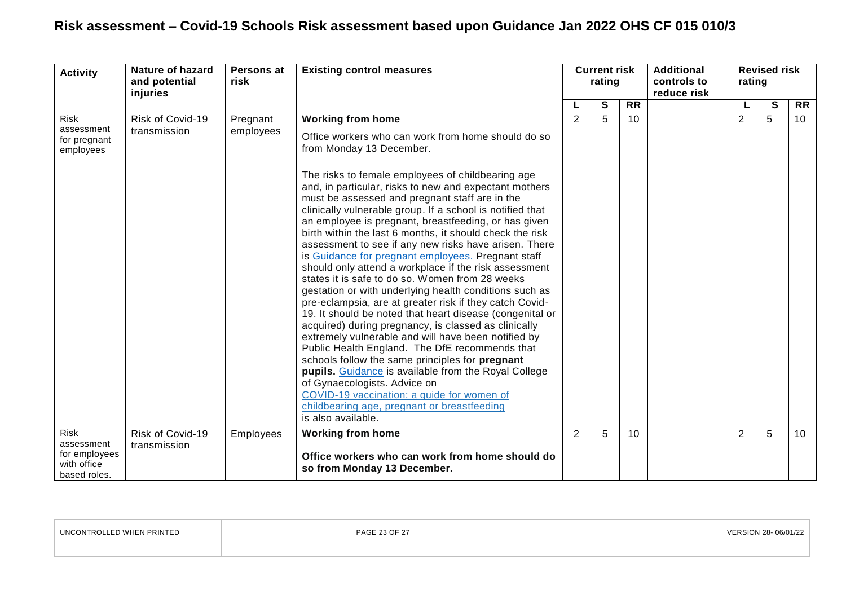| <b>Activity</b>                                                           | <b>Nature of hazard</b><br>and potential<br>injuries | Persons at<br>risk    | <b>Existing control measures</b>                                                                                                                                                                                                                                                                                                                                                                                                                                                                                                                                                                                                                                                                                                                                                                                                                                                                                                                                                                                                                                                                                                                                                                                                                                                                        |   | rating |           |  |                | <b>Current risk</b> |                 | <b>Additional</b><br>controls to<br>reduce risk | rating | <b>Revised risk</b> |  |
|---------------------------------------------------------------------------|------------------------------------------------------|-----------------------|---------------------------------------------------------------------------------------------------------------------------------------------------------------------------------------------------------------------------------------------------------------------------------------------------------------------------------------------------------------------------------------------------------------------------------------------------------------------------------------------------------------------------------------------------------------------------------------------------------------------------------------------------------------------------------------------------------------------------------------------------------------------------------------------------------------------------------------------------------------------------------------------------------------------------------------------------------------------------------------------------------------------------------------------------------------------------------------------------------------------------------------------------------------------------------------------------------------------------------------------------------------------------------------------------------|---|--------|-----------|--|----------------|---------------------|-----------------|-------------------------------------------------|--------|---------------------|--|
|                                                                           |                                                      |                       |                                                                                                                                                                                                                                                                                                                                                                                                                                                                                                                                                                                                                                                                                                                                                                                                                                                                                                                                                                                                                                                                                                                                                                                                                                                                                                         |   | S      | <b>RR</b> |  |                | $\mathbf{s}$        | <b>RR</b>       |                                                 |        |                     |  |
| Risk<br>assessment<br>for pregnant<br>employees                           | Risk of Covid-19<br>transmission                     | Pregnant<br>employees | <b>Working from home</b><br>Office workers who can work from home should do so<br>from Monday 13 December.<br>The risks to female employees of childbearing age<br>and, in particular, risks to new and expectant mothers<br>must be assessed and pregnant staff are in the<br>clinically vulnerable group. If a school is notified that<br>an employee is pregnant, breastfeeding, or has given<br>birth within the last 6 months, it should check the risk<br>assessment to see if any new risks have arisen. There<br>is Guidance for pregnant employees. Pregnant staff<br>should only attend a workplace if the risk assessment<br>states it is safe to do so. Women from 28 weeks<br>gestation or with underlying health conditions such as<br>pre-eclampsia, are at greater risk if they catch Covid-<br>19. It should be noted that heart disease (congenital or<br>acquired) during pregnancy, is classed as clinically<br>extremely vulnerable and will have been notified by<br>Public Health England. The DfE recommends that<br>schools follow the same principles for pregnant<br>pupils. Guidance is available from the Royal College<br>of Gynaecologists. Advice on<br>COVID-19 vaccination: a guide for women of<br>childbearing age, pregnant or breastfeeding<br>is also available. | 2 | 5      | 10        |  | $\overline{2}$ | 5                   | 10 <sup>°</sup> |                                                 |        |                     |  |
| <b>Risk</b><br>assessment<br>for employees<br>with office<br>based roles. | Risk of Covid-19<br>transmission                     | Employees             | <b>Working from home</b><br>Office workers who can work from home should do<br>so from Monday 13 December.                                                                                                                                                                                                                                                                                                                                                                                                                                                                                                                                                                                                                                                                                                                                                                                                                                                                                                                                                                                                                                                                                                                                                                                              | 2 | 5      | 10        |  | $\overline{2}$ | 5                   | 10              |                                                 |        |                     |  |

| UNCONTROLLED WHEN PRINTED | PAGE 23 OF 27 | VERSION 28-06/01/22 |
|---------------------------|---------------|---------------------|
|                           |               |                     |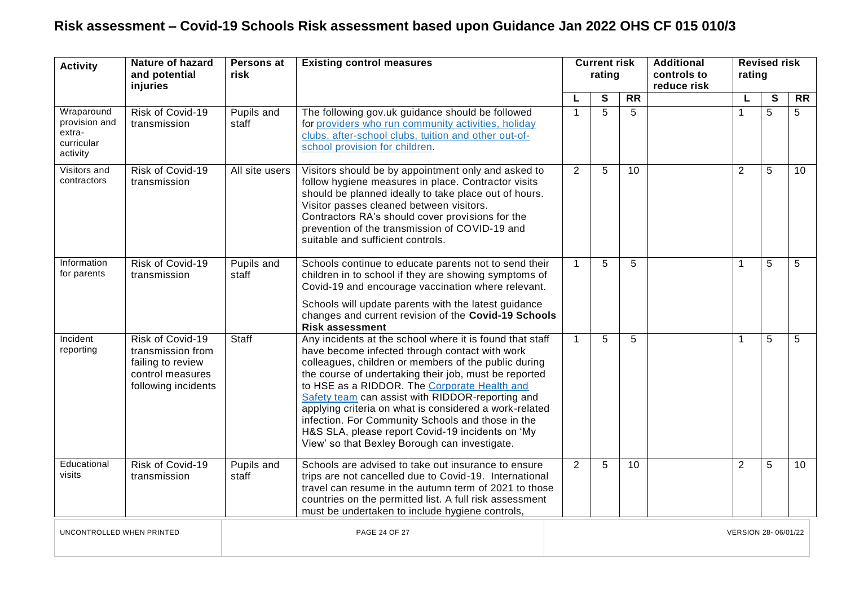| <b>Activity</b>                                                 | <b>Nature of hazard</b><br>and potential<br>injuries                                                  | Persons at<br>risk  | <b>Existing control measures</b>                                                                                                                                                                                                                                                                                                                                                                                                                                                                                                                    | <b>Current risk</b><br>rating |              | <b>Additional</b><br>controls to<br>reduce risk | <b>Revised risk</b><br>rating |                |                         |                 |
|-----------------------------------------------------------------|-------------------------------------------------------------------------------------------------------|---------------------|-----------------------------------------------------------------------------------------------------------------------------------------------------------------------------------------------------------------------------------------------------------------------------------------------------------------------------------------------------------------------------------------------------------------------------------------------------------------------------------------------------------------------------------------------------|-------------------------------|--------------|-------------------------------------------------|-------------------------------|----------------|-------------------------|-----------------|
|                                                                 |                                                                                                       |                     |                                                                                                                                                                                                                                                                                                                                                                                                                                                                                                                                                     | L                             | $\mathbf{s}$ | $\overline{RR}$                                 |                               |                | $\overline{\mathbf{s}}$ | $\overline{RR}$ |
| Wraparound<br>provision and<br>extra-<br>curricular<br>activity | Risk of Covid-19<br>transmission                                                                      | Pupils and<br>staff | The following gov.uk guidance should be followed<br>for providers who run community activities, holiday<br>clubs, after-school clubs, tuition and other out-of-<br>school provision for children.                                                                                                                                                                                                                                                                                                                                                   | $\mathbf{1}$                  | 5            | 5                                               |                               | 1              | 5                       | 5               |
| Visitors and<br>contractors                                     | Risk of Covid-19<br>transmission                                                                      | All site users      | Visitors should be by appointment only and asked to<br>follow hygiene measures in place. Contractor visits<br>should be planned ideally to take place out of hours.<br>Visitor passes cleaned between visitors.<br>Contractors RA's should cover provisions for the<br>prevention of the transmission of COVID-19 and<br>suitable and sufficient controls.                                                                                                                                                                                          | 2                             | 5            | 10                                              |                               | 2              | 5                       | 10 <sup>1</sup> |
| Information<br>for parents                                      | Risk of Covid-19<br>transmission                                                                      | Pupils and<br>staff | Schools continue to educate parents not to send their<br>children in to school if they are showing symptoms of<br>Covid-19 and encourage vaccination where relevant.<br>Schools will update parents with the latest guidance<br>changes and current revision of the Covid-19 Schools<br><b>Risk assessment</b>                                                                                                                                                                                                                                      | $\mathbf{1}$                  | 5            | 5                                               |                               | 1              | 5                       | 5               |
| Incident<br>reporting                                           | Risk of Covid-19<br>transmission from<br>failing to review<br>control measures<br>following incidents | Staff               | Any incidents at the school where it is found that staff<br>have become infected through contact with work<br>colleagues, children or members of the public during<br>the course of undertaking their job, must be reported<br>to HSE as a RIDDOR. The Corporate Health and<br>Safety team can assist with RIDDOR-reporting and<br>applying criteria on what is considered a work-related<br>infection. For Community Schools and those in the<br>H&S SLA, please report Covid-19 incidents on 'My<br>View' so that Bexley Borough can investigate. | $\mathbf{1}$                  | 5            | 5                                               |                               | 1              | 5                       | 5               |
| Educational<br>visits                                           | Risk of Covid-19<br>transmission                                                                      | Pupils and<br>staff | Schools are advised to take out insurance to ensure<br>trips are not cancelled due to Covid-19. International<br>travel can resume in the autumn term of 2021 to those<br>countries on the permitted list. A full risk assessment<br>must be undertaken to include hygiene controls,                                                                                                                                                                                                                                                                | 2                             | 5            | 10                                              |                               | $\overline{2}$ | 5                       | 10 <sup>1</sup> |
| UNCONTROLLED WHEN PRINTED                                       |                                                                                                       |                     | PAGE 24 OF 27                                                                                                                                                                                                                                                                                                                                                                                                                                                                                                                                       |                               |              |                                                 | VERSION 28-06/01/22           |                |                         |                 |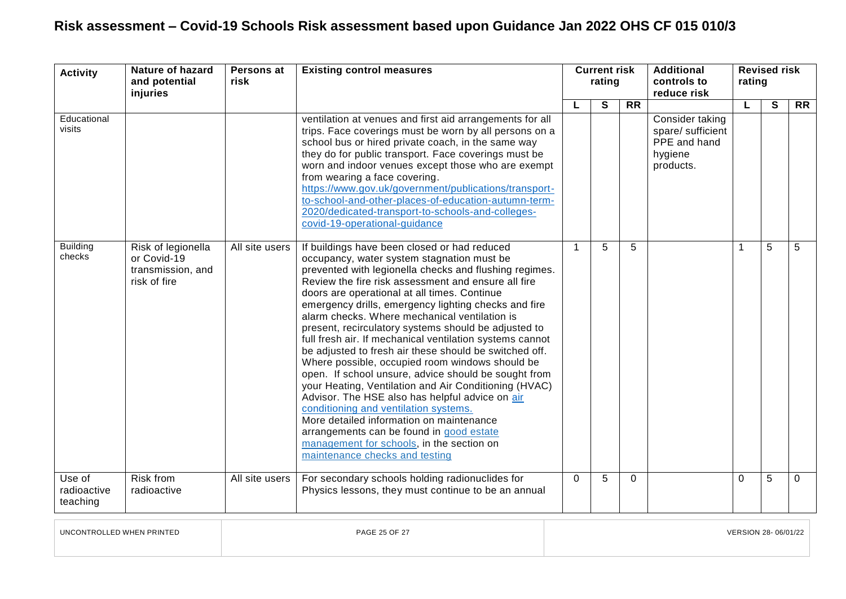| <b>Activity</b>                   | Nature of hazard<br>and potential<br>injuries                          | Persons at<br>risk | <b>Existing control measures</b>                                                                                                                                                                                                                                                                                                                                                                                                                                                                                                                                                                                                                                                                                                                                                                                                                                                                                                                                                          | <b>Current risk</b><br>rating |   |                | <b>Additional</b><br>controls to<br>reduce risk                              | <b>Revised risk</b><br>rating |   |           |  |
|-----------------------------------|------------------------------------------------------------------------|--------------------|-------------------------------------------------------------------------------------------------------------------------------------------------------------------------------------------------------------------------------------------------------------------------------------------------------------------------------------------------------------------------------------------------------------------------------------------------------------------------------------------------------------------------------------------------------------------------------------------------------------------------------------------------------------------------------------------------------------------------------------------------------------------------------------------------------------------------------------------------------------------------------------------------------------------------------------------------------------------------------------------|-------------------------------|---|----------------|------------------------------------------------------------------------------|-------------------------------|---|-----------|--|
|                                   |                                                                        |                    |                                                                                                                                                                                                                                                                                                                                                                                                                                                                                                                                                                                                                                                                                                                                                                                                                                                                                                                                                                                           |                               | S | <b>RR</b>      |                                                                              | L                             | S | <b>RR</b> |  |
| Educational<br>visits             |                                                                        |                    | ventilation at venues and first aid arrangements for all<br>trips. Face coverings must be worn by all persons on a<br>school bus or hired private coach, in the same way<br>they do for public transport. Face coverings must be<br>worn and indoor venues except those who are exempt<br>from wearing a face covering.<br>https://www.gov.uk/government/publications/transport-<br>to-school-and-other-places-of-education-autumn-term-<br>2020/dedicated-transport-to-schools-and-colleges-<br>covid-19-operational-guidance                                                                                                                                                                                                                                                                                                                                                                                                                                                            |                               |   |                | Consider taking<br>spare/ sufficient<br>PPE and hand<br>hygiene<br>products. |                               |   |           |  |
| <b>Building</b><br>checks         | Risk of legionella<br>or Covid-19<br>transmission, and<br>risk of fire | All site users     | If buildings have been closed or had reduced<br>occupancy, water system stagnation must be<br>prevented with legionella checks and flushing regimes.<br>Review the fire risk assessment and ensure all fire<br>doors are operational at all times. Continue<br>emergency drills, emergency lighting checks and fire<br>alarm checks. Where mechanical ventilation is<br>present, recirculatory systems should be adjusted to<br>full fresh air. If mechanical ventilation systems cannot<br>be adjusted to fresh air these should be switched off.<br>Where possible, occupied room windows should be<br>open. If school unsure, advice should be sought from<br>your Heating, Ventilation and Air Conditioning (HVAC)<br>Advisor. The HSE also has helpful advice on air<br>conditioning and ventilation systems.<br>More detailed information on maintenance<br>arrangements can be found in good estate<br>management for schools, in the section on<br>maintenance checks and testing | $\mathbf{1}$                  | 5 | 5              |                                                                              | 1                             | 5 | 5         |  |
| Use of<br>radioactive<br>teaching | <b>Risk from</b><br>radioactive                                        | All site users     | For secondary schools holding radionuclides for<br>Physics lessons, they must continue to be an annual                                                                                                                                                                                                                                                                                                                                                                                                                                                                                                                                                                                                                                                                                                                                                                                                                                                                                    | $\Omega$                      | 5 | $\overline{0}$ |                                                                              | $\Omega$                      | 5 | $\Omega$  |  |

UNCONTROLLED WHEN PRINTED PAGE 25 OF 27 VERSION 28- 06/01/22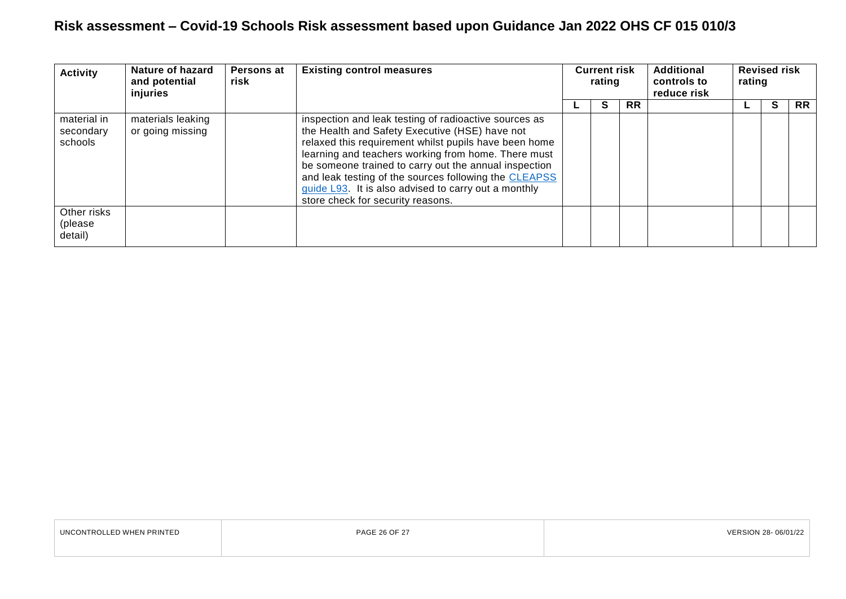| <b>Activity</b>                     | Nature of hazard<br>and potential<br>injuries | <b>Persons at</b><br>risk | <b>Existing control measures</b>                                                                                                                                                                                                                                                                                                                                                                                                       | <b>Current risk</b><br>rating |    | Additional<br>controls to<br>reduce risk |  | <b>Revised risk</b><br>rating |   |           |
|-------------------------------------|-----------------------------------------------|---------------------------|----------------------------------------------------------------------------------------------------------------------------------------------------------------------------------------------------------------------------------------------------------------------------------------------------------------------------------------------------------------------------------------------------------------------------------------|-------------------------------|----|------------------------------------------|--|-------------------------------|---|-----------|
|                                     |                                               |                           |                                                                                                                                                                                                                                                                                                                                                                                                                                        |                               | C. | <b>RR</b>                                |  |                               | S | <b>RR</b> |
| material in<br>secondary<br>schools | materials leaking<br>or going missing         |                           | inspection and leak testing of radioactive sources as<br>the Health and Safety Executive (HSE) have not<br>relaxed this requirement whilst pupils have been home<br>learning and teachers working from home. There must<br>be someone trained to carry out the annual inspection<br>and leak testing of the sources following the CLEAPSS<br>guide L93. It is also advised to carry out a monthly<br>store check for security reasons. |                               |    |                                          |  |                               |   |           |
| Other risks<br>(please<br>detail)   |                                               |                           |                                                                                                                                                                                                                                                                                                                                                                                                                                        |                               |    |                                          |  |                               |   |           |

| UNCONTROLLED WHEN PRINTED | PAGE 26 OF 27 | VERSION 28-06/01/22 |
|---------------------------|---------------|---------------------|
|                           |               |                     |